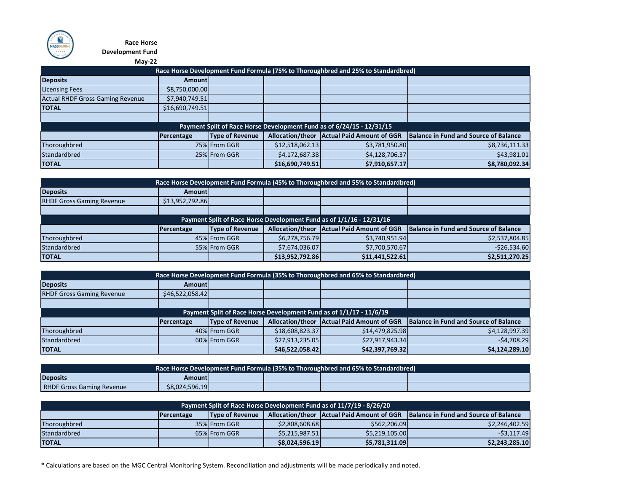

## **Race Horse**

**May-22**

| Race Horse Development Fund Formula (75% to Thoroughbred and 25% to Standardbred) |                 |                        |                 |                                                                       |                                       |  |  |  |  |
|-----------------------------------------------------------------------------------|-----------------|------------------------|-----------------|-----------------------------------------------------------------------|---------------------------------------|--|--|--|--|
| <b>Deposits</b>                                                                   | Amountl         |                        |                 |                                                                       |                                       |  |  |  |  |
| <b>Licensing Fees</b>                                                             | \$8,750,000.00  |                        |                 |                                                                       |                                       |  |  |  |  |
| <b>Actual RHDF Gross Gaming Revenue</b>                                           | \$7,940,749.51  |                        |                 |                                                                       |                                       |  |  |  |  |
| <b>TOTAL</b>                                                                      | \$16,690,749.51 |                        |                 |                                                                       |                                       |  |  |  |  |
|                                                                                   |                 |                        |                 |                                                                       |                                       |  |  |  |  |
|                                                                                   |                 |                        |                 | Payment Split of Race Horse Development Fund as of 6/24/15 - 12/31/15 |                                       |  |  |  |  |
|                                                                                   | Percentage      | <b>Type of Revenue</b> |                 | Allocation/theor   Actual Paid Amount of GGR                          | Balance in Fund and Source of Balance |  |  |  |  |
| Thoroughbred                                                                      |                 | 75% From GGR           | \$12,518,062.13 | \$3,781,950.80                                                        | \$8,736,111.33                        |  |  |  |  |
| Standardbred                                                                      |                 | 25% From GGR           | \$4,172,687.38  | \$4,128,706.37                                                        | \$43,981.01                           |  |  |  |  |
| <b>TOTAL</b>                                                                      |                 |                        | \$16,690,749.51 | \$7,910,657.17                                                        | \$8,780,092.34                        |  |  |  |  |

| Race Horse Development Fund Formula (45% to Thoroughbred and 55% to Standardbred) |                 |                        |                 |                                              |                                       |  |  |  |  |
|-----------------------------------------------------------------------------------|-----------------|------------------------|-----------------|----------------------------------------------|---------------------------------------|--|--|--|--|
| <b>Deposits</b>                                                                   | Amountl         |                        |                 |                                              |                                       |  |  |  |  |
| <b>RHDF Gross Gaming Revenue</b>                                                  | \$13,952,792.86 |                        |                 |                                              |                                       |  |  |  |  |
|                                                                                   |                 |                        |                 |                                              |                                       |  |  |  |  |
| Payment Split of Race Horse Development Fund as of 1/1/16 - 12/31/16              |                 |                        |                 |                                              |                                       |  |  |  |  |
|                                                                                   | Percentage      | <b>Type of Revenue</b> |                 | Allocation/theor   Actual Paid Amount of GGR | Balance in Fund and Source of Balance |  |  |  |  |
| Thoroughbred                                                                      |                 | 45% From GGR           | \$6,278,756.79  | \$3.740.951.94                               | \$2,537,804.85                        |  |  |  |  |
| Standardbred                                                                      |                 | 55% From GGR           | \$7,674,036.07  | \$7,700,570.67                               | $-$26,534.60$                         |  |  |  |  |
| <b>TOTAL</b>                                                                      |                 |                        | \$13,952,792.86 | \$11,441,522.61                              | \$2,511,270.25                        |  |  |  |  |

| Race Horse Development Fund Formula (35% to Thoroughbred and 65% to Standardbred) |                                                                     |                        |                 |                                              |                                       |  |  |  |  |  |
|-----------------------------------------------------------------------------------|---------------------------------------------------------------------|------------------------|-----------------|----------------------------------------------|---------------------------------------|--|--|--|--|--|
| <b>Deposits</b>                                                                   | Amountl                                                             |                        |                 |                                              |                                       |  |  |  |  |  |
| <b>RHDF Gross Gaming Revenue</b>                                                  | \$46,522,058.42                                                     |                        |                 |                                              |                                       |  |  |  |  |  |
|                                                                                   |                                                                     |                        |                 |                                              |                                       |  |  |  |  |  |
|                                                                                   | Payment Split of Race Horse Development Fund as of 1/1/17 - 11/6/19 |                        |                 |                                              |                                       |  |  |  |  |  |
|                                                                                   | Percentage                                                          | <b>Type of Revenue</b> |                 | Allocation/theor   Actual Paid Amount of GGR | Balance in Fund and Source of Balance |  |  |  |  |  |
| Thoroughbred                                                                      |                                                                     | 40% From GGR           | \$18,608,823.37 | \$14,479,825.98                              | \$4,128,997.39                        |  |  |  |  |  |
| Standardbred                                                                      |                                                                     | 60% From GGR           | \$27,913,235.05 | \$27,917,943.34                              | $-54,708.29$                          |  |  |  |  |  |
| <b>TOTAL</b>                                                                      |                                                                     |                        | \$46,522,058.42 | \$42,397,769.32                              | \$4,124,289.10                        |  |  |  |  |  |

| Race Horse Development Fund Formula (35% to Thoroughbred and 65% to Standardbred) |                |  |  |  |  |  |  |  |
|-----------------------------------------------------------------------------------|----------------|--|--|--|--|--|--|--|
| <b>Deposits</b><br>Amount                                                         |                |  |  |  |  |  |  |  |
| <b>RHDF Gross Gaming Revenue</b>                                                  | \$8,024,596.19 |  |  |  |  |  |  |  |

| Payment Split of Race Horse Development Fund as of 11/7/19 - 8/26/20 |                                                                                                                                             |              |                |                |                |  |  |  |  |  |  |
|----------------------------------------------------------------------|---------------------------------------------------------------------------------------------------------------------------------------------|--------------|----------------|----------------|----------------|--|--|--|--|--|--|
|                                                                      | <b>Allocation/theor   Actual Paid Amount of GGR</b><br><b>Balance in Fund and Source of Balance</b><br><b>Type of Revenue</b><br>Percentage |              |                |                |                |  |  |  |  |  |  |
| Thoroughbred                                                         |                                                                                                                                             | 35% From GGR | \$2,808,608.68 | \$562,206.09   | \$2,246,402.59 |  |  |  |  |  |  |
| Standardbred                                                         |                                                                                                                                             | 65% From GGR | \$5,215,987.51 | \$5,219,105.00 | $-53,117.49$   |  |  |  |  |  |  |
| <b>TOTAL</b>                                                         | \$8,024,596.19<br>\$2,243,285.10<br>\$5,781,311.09                                                                                          |              |                |                |                |  |  |  |  |  |  |

\* Calculations are based on the MGC Central Monitoring System. Reconciliation and adjustments will be made periodically and noted.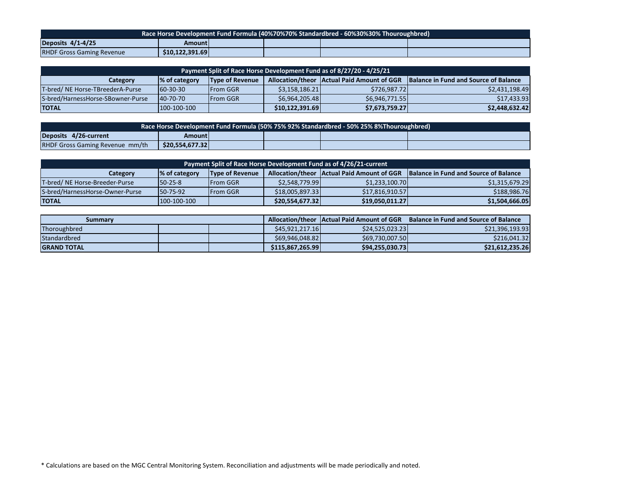| Race Horse Development Fund Formula (40%70%70% Standardbred - 60%30%30% Thouroughbred) |                 |  |  |  |  |  |  |  |
|----------------------------------------------------------------------------------------|-----------------|--|--|--|--|--|--|--|
| Deposits $4/1-4/25$<br>Amountl                                                         |                 |  |  |  |  |  |  |  |
| <b>RHDF Gross Gaming Revenue</b>                                                       | \$10,122,391.69 |  |  |  |  |  |  |  |

| Payment Split of Race Horse Development Fund as of 8/27/20 - 4/25/21                                                                                 |                 |                  |                 |                |                |  |  |  |  |  |  |
|------------------------------------------------------------------------------------------------------------------------------------------------------|-----------------|------------------|-----------------|----------------|----------------|--|--|--|--|--|--|
| Allocation/theor   Actual Paid Amount of GGR<br><b>Balance in Fund and Source of Balance</b><br><b>Type of Revenue</b><br>∣% of category<br>Category |                 |                  |                 |                |                |  |  |  |  |  |  |
| T-bred/ NE Horse-TBreederA-Purse                                                                                                                     | $160 - 30 - 30$ | <b>IFrom GGR</b> | \$3,158,186.21  | \$726,987.72   | \$2,431,198.49 |  |  |  |  |  |  |
| S-bred/HarnessHorse-SBowner-Purse                                                                                                                    | $140 - 70 - 70$ | <b>IFrom GGR</b> | \$6,964,205.48  | \$6,946,771.55 | \$17,433.93    |  |  |  |  |  |  |
| <b>TOTAL</b>                                                                                                                                         | $100-100-100$   |                  | \$10,122,391.69 | \$7,673,759.27 | \$2,448,632.42 |  |  |  |  |  |  |

| Race Horse Development Fund Formula (50% 75% 92% Standardbred - 50% 25% 8%Thouroughbred) |                 |  |  |  |  |  |  |  |
|------------------------------------------------------------------------------------------|-----------------|--|--|--|--|--|--|--|
| Deposits 4/26-current<br>Amountl                                                         |                 |  |  |  |  |  |  |  |
| <b>RHDF Gross Gaming Revenue mm/th</b>                                                   | \$20.554.677.32 |  |  |  |  |  |  |  |

| Payment Split of Race Horse Development Fund as of 4/26/21-current                                                                                   |                 |                  |                 |                 |                |  |  |  |  |  |  |
|------------------------------------------------------------------------------------------------------------------------------------------------------|-----------------|------------------|-----------------|-----------------|----------------|--|--|--|--|--|--|
| Allocation/theor   Actual Paid Amount of GGR<br><b>Balance in Fund and Source of Balance</b><br><b>Type of Revenue</b><br>Ⅰ% of category<br>Category |                 |                  |                 |                 |                |  |  |  |  |  |  |
| T-bred/ NE Horse-Breeder-Purse                                                                                                                       | $150 - 25 - 8$  | <b>IFrom GGR</b> | \$2,548,779.99  | \$1,233,100.70  | \$1,315,679.29 |  |  |  |  |  |  |
| S-bred/HarnessHorse-Owner-Purse                                                                                                                      | 150-75-92       | <b>IFrom GGR</b> | \$18,005,897.33 | \$17.816.910.57 | \$188,986.76   |  |  |  |  |  |  |
| <b>TOTAL</b>                                                                                                                                         | $ 100-100-100 $ |                  | \$20,554,677.32 | \$19,050,011.27 | \$1,504,666.05 |  |  |  |  |  |  |

| Summarv            |  |  |                  | Allocation/theor   Actual Paid Amount of GGR | <b>Balance in Fund and Source of Balance</b> |
|--------------------|--|--|------------------|----------------------------------------------|----------------------------------------------|
| Thoroughbred       |  |  | \$45.921.217.16  | \$24,525,023.23                              | \$21,396,193.93                              |
| Standardbred       |  |  | \$69,946,048.82  | \$69,730,007.50                              | \$216,041.32                                 |
| <b>GRAND TOTAL</b> |  |  | \$115,867,265.99 | \$94,255,030.73                              | \$21,612,235.26                              |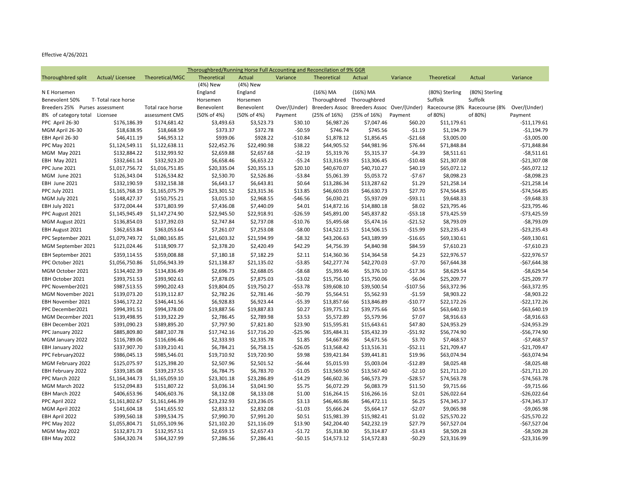## Effective 4/26/2021

|                                |                        |                  | Thoroughbred/Running Horse Full Accounting and Reconcilation of 9% GGR |             |              |                                            |               |             |                               |                |               |
|--------------------------------|------------------------|------------------|------------------------------------------------------------------------|-------------|--------------|--------------------------------------------|---------------|-------------|-------------------------------|----------------|---------------|
| Thoroughbred split             | <b>Actual/Licensee</b> | Theoretical/MGC  | Theoretical                                                            | Actual      | Variance     | <b>Theoretical</b>                         | <b>Actual</b> | Variance    | Theoretical                   | Actual         | Variance      |
|                                |                        |                  | (4%) New                                                               | (4%) New    |              |                                            |               |             |                               |                |               |
| N E Horsemen                   |                        |                  | England                                                                | England     |              | (16%) MA                                   | (16%) MA      |             | (80%) Sterling                | (80%) Sterling |               |
| Benevolent 50%                 | T-Total race horse     |                  | Horsemen                                                               | Horsemen    |              | Thoroughbred                               | Thoroughbred  |             | Suffolk                       | Suffolk        |               |
| Breeders 25% Purses assessment |                        | Total race horse | Benevolent                                                             | Benevolent  | Over/(Under) | Breeders Assoc Breeders Assoc Over/(Under) |               |             | Racecourse (8% Racecourse (8% |                | Over/(Under)  |
| 8% of category total Licensee  |                        | assessment CMS   | (50% of 4%)                                                            | (50% of 4%) | Payment      | (25% of 16%)                               | (25% of 16%)  | Payment     | of 80%)                       | of 80%)        | Payment       |
| PPC April 26-30                | \$176,186.39           | \$174,681.42     | \$3,493.63                                                             | \$3,523.73  | \$30.10      | \$6,987.26                                 | \$7,047.46    | \$60.20     | \$11,179.61                   |                | $-511,179.61$ |
| MGM April 26-30                | \$18,638.95            | \$18,668.59      | \$373.37                                                               | \$372.78    | $-50.59$     | \$746.74                                   | \$745.56      | $-51.19$    | \$1,194.79                    |                | $-$1,194.79$  |
| EBH April 26-30                | \$46,411.19            | \$46,953.12      | \$939.06                                                               | \$928.22    | $-$10.84$    | \$1,878.12                                 | \$1,856.45    | $-521.68$   | \$3,005.00                    |                | $-$3,005.00$  |
| <b>PPC May 2021</b>            | \$1,124,549.11         | \$1,122,638.11   | \$22,452.76                                                            | \$22,490.98 | \$38.22      | \$44,905.52                                | \$44,981.96   | \$76.44     | \$71,848.84                   |                | $-571,848.84$ |
| MGM May 2021                   | \$132,884.22           | \$132,993.92     | \$2,659.88                                                             | \$2,657.68  | $-52.19$     | \$5,319.76                                 | \$5,315.37    | $-54.39$    | \$8,511.61                    |                | $-58,511.61$  |
| EBH May 2021                   | \$332,661.14           | \$332,923.20     | \$6,658.46                                                             | \$6,653.22  | $-55.24$     | \$13,316.93                                | \$13,306.45   | $-$10.48$   | \$21,307.08                   |                | $-$21,307.08$ |
| PPC June 2021                  | \$1,017,756.72         | \$1,016,751.85   | \$20,335.04                                                            | \$20,355.13 | \$20.10      | \$40,670.07                                | \$40,710.27   | \$40.19     | \$65,072.12                   |                | $-565,072.12$ |
| MGM June 2021                  | \$126,343.04           | \$126,534.82     | \$2,530.70                                                             | \$2,526.86  | $-53.84$     | \$5,061.39                                 | \$5,053.72    | $-57.67$    | \$8,098.23                    |                | $-58,098.23$  |
| EBH June 2021                  | \$332,190.59           | \$332,158.38     | \$6,643.17                                                             | \$6,643.81  | \$0.64       | \$13,286.34                                | \$13,287.62   | \$1.29      | \$21,258.14                   |                | $-521,258.14$ |
| PPC July 2021                  | \$1,165,768.19         | \$1,165,075.79   | \$23,301.52                                                            | \$23,315.36 | \$13.85      | \$46,603.03                                | \$46,630.73   | \$27.70     | \$74,564.85                   |                | $-$74,564.85$ |
| MGM July 2021                  | \$148,427.37           | \$150,755.21     | \$3,015.10                                                             | \$2,968.55  | $-$ \$46.56  | \$6,030.21                                 | \$5,937.09    | -\$93.11    | \$9,648.33                    |                | $-59,648.33$  |
| EBH July 2021                  | \$372,004.44           | \$371,803.99     | \$7,436.08                                                             | \$7,440.09  | \$4.01       | \$14,872.16                                | \$14,880.18   | \$8.02      | \$23,795.46                   |                | $-$23,795.46$ |
| PPC August 2021                | \$1,145,945.49         | \$1,147,274.90   | \$22,945.50                                                            | \$22,918.91 | $-526.59$    | \$45,891.00                                | \$45,837.82   | $-553.18$   | \$73,425.59                   |                | $-$73,425.59$ |
| MGM August 2021                | \$136,854.03           | \$137,392.03     | \$2,747.84                                                             | \$2,737.08  | $-510.76$    | \$5,495.68                                 | \$5,474.16    | $-521.52$   | \$8,793.09                    |                | $-58,793.09$  |
| EBH August 2021                | \$362,653.84           | \$363,053.64     | \$7,261.07                                                             | \$7,253.08  | $-58.00$     | \$14,522.15                                | \$14,506.15   | $-$15.99$   | \$23,235.43                   |                | $-$23,235.43$ |
| PPC September 2021             | \$1,079,749.72         | \$1,080,165.85   | \$21,603.32                                                            | \$21,594.99 | $-58.32$     | \$43,206.63                                | \$43,189.99   | $-$16.65$   | \$69,130.61                   |                | $-569,130.61$ |
| MGM September 2021             | \$121,024.46           | \$118,909.77     | \$2,378.20                                                             | \$2,420.49  | \$42.29      | \$4,756.39                                 | \$4,840.98    | \$84.59     | \$7,610.23                    |                | $-$7,610.23$  |
| EBH September 2021             | \$359,114.55           | \$359,008.88     | \$7,180.18                                                             | \$7,182.29  | \$2.11       | \$14,360.36                                | \$14,364.58   | \$4.23      | \$22,976.57                   |                | $-$22,976.57$ |
| PPC October 2021               | \$1,056,750.86         | \$1,056,943.39   | \$21,138.87                                                            | \$21,135.02 | $-$ \$3.85   | \$42,277.74                                | \$42,270.03   | $-57.70$    | \$67,644.38                   |                | $-$67,644.38$ |
| MGM October 2021               | \$134,402.39           | \$134,836.49     | \$2,696.73                                                             | \$2,688.05  | $-$ \$8.68   | \$5,393.46                                 | \$5,376.10    | $-$17.36$   | \$8,629.54                    |                | $-58,629.54$  |
| EBH October 2021               | \$393,751.53           | \$393,902.61     | \$7,878.05                                                             | \$7,875.03  | $-53.02$     | \$15,756.10                                | \$15,750.06   | $-56.04$    | \$25,209.77                   |                | $-$25,209.77$ |
| PPC November2021               | \$987,513.55           | \$990,202.43     | \$19,804.05                                                            | \$19,750.27 | $-553.78$    | \$39,608.10                                | \$39,500.54   | $-$107.56$  | \$63,372.96                   |                | $-563,372.95$ |
| MGM November 2021              | \$139,073.20           | \$139,112.87     | \$2,782.26                                                             | \$2,781.46  | $-50.79$     | \$5,564.51                                 | \$5,562.93    | $-51.59$    | \$8,903.22                    |                | $-58,903.22$  |
| EBH November 2021              | \$346,172.22           | \$346,441.56     | \$6,928.83                                                             | \$6,923.44  | -\$5.39      | \$13,857.66                                | \$13,846.89   | $-$10.77$   | \$22,172.26                   |                | $-$22,172.26$ |
| PPC December2021               | \$994,391.51           | \$994,378.00     | \$19,887.56                                                            | \$19,887.83 | \$0.27       | \$39,775.12                                | \$39,775.66   | \$0.54      | \$63,640.19                   |                | $-$63,640.19$ |
| MGM December 2021              | \$139,498.95           | \$139,322.29     | \$2,786.45                                                             | \$2,789.98  | \$3.53       | \$5,572.89                                 | \$5,579.96    | \$7.07      | \$8,916.63                    |                | $-$8,916.63$  |
| EBH December 2021              | \$391,090.23           | \$389,895.20     | \$7,797.90                                                             | \$7,821.80  | \$23.90      | \$15,595.81                                | \$15,643.61   | \$47.80     | \$24,953.29                   |                | $-$24,953.29$ |
| PPC January 2022               | \$885,809.80           | \$887,107.78     | \$17,742.16                                                            | \$17,716.20 | $-525.96$    | \$35,484.31                                | \$35,432.39   | $-551.92$   | \$56,774.90                   |                | $-$56,774.90$ |
| MGM January 2022               | \$116,789.06           | \$116,696.46     | \$2,333.93                                                             | \$2,335.78  | \$1.85       | \$4,667.86                                 | \$4,671.56    | \$3.70      | \$7,468.57                    |                | $-$7,468.57$  |
| EBH January 2022               | \$337,907.70           | \$339,210.41     | \$6,784.21                                                             | \$6,758.15  | $-526.05$    | \$13,568.42                                | \$13,516.31   | $-$ \$52.11 | \$21,709.47                   |                | $-521,709.47$ |
| PPC February2022               | \$986,045.13           | \$985,546.01     | \$19,710.92                                                            | \$19,720.90 | \$9.98       | \$39,421.84                                | \$39,441.81   | \$19.96     | \$63,074.94                   |                | -\$63,074.94  |
| MGM February 2022              | \$125,075.97           | \$125,398.20     | \$2,507.96                                                             | \$2,501.52  | $-$ \$6.44   | \$5,015.93                                 | \$5,003.04    | $-$12.89$   | \$8,025.48                    |                | $-58,025.48$  |
| EBH February 2022              | \$339,185.08           | \$339,237.55     | \$6,784.75                                                             | \$6,783.70  | $-$1.05$     | \$13,569.50                                | \$13,567.40   | $-52.10$    | \$21,711.20                   |                | $-521,711.20$ |
| PPC March 2022                 | \$1,164,344.73         | \$1,165,059.10   | \$23,301.18                                                            | \$23,286.89 | $-$14.29$    | \$46,602.36                                | \$46,573.79   | $-528.57$   | \$74,563.78                   |                | $-$74,563.78$ |
| MGM March 2022                 | \$152,094.83           | \$151,807.22     | \$3,036.14                                                             | \$3,041.90  | \$5.75       | \$6,072.29                                 | \$6,083.79    | \$11.50     | \$9,715.66                    |                | $-59,715.66$  |
| EBH March 2022                 | \$406,653.96           | \$406,603.76     | \$8,132.08                                                             | \$8,133.08  | \$1.00       | \$16,264.15                                | \$16,266.16   | \$2.01      | \$26,022.64                   |                | $-526,022.64$ |
| PPC April 2022                 | \$1,161,802.67         | \$1,161,646.39   | \$23,232.93                                                            | \$23,236.05 | \$3.13       | \$46,465.86                                | \$46,472.11   | \$6.25      | \$74,345.37                   |                | $-$74,345.37$ |
| MGM April 2022                 | \$141,604.18           | \$141,655.92     | \$2,833.12                                                             | \$2,832.08  | $-$1.03$     | \$5,666.24                                 | \$5,664.17    | $-$2.07$    | \$9,065.98                    |                | $-$9,065.98$  |
| EBH April 2022                 | \$399,560.18           | \$399,534.75     | \$7,990.70                                                             | \$7,991.20  | \$0.51       | \$15,981.39                                | \$15,982.41   | \$1.02      | \$25,570.22                   |                | $-$25,570.22$ |
| <b>PPC May 2022</b>            | \$1,055,804.71         | \$1,055,109.96   | \$21,102.20                                                            | \$21,116.09 | \$13.90      | \$42,204.40                                | \$42,232.19   | \$27.79     | \$67,527.04                   |                | $-$67,527.04$ |
| MGM May 2022                   | \$132,871.73           | \$132,957.51     | \$2,659.15                                                             | \$2,657.43  | $-51.72$     | \$5,318.30                                 | \$5,314.87    | $-53.43$    | \$8,509.28                    |                | $-58,509.28$  |
| EBH May 2022                   | \$364,320.74           | \$364,327.99     | \$7,286.56                                                             | \$7,286.41  | $-50.15$     | \$14,573.12                                | \$14,572.83   | $-50.29$    | \$23,316.99                   |                | $-523,316.99$ |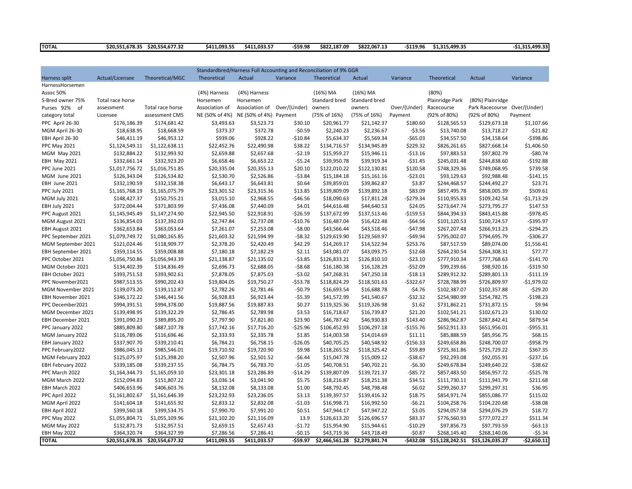| <b>TOTAL</b> | \$20.551.678.35 | \$20,554,677.32 | \$411.093.55 | $.11033 -$<br>- 541.<br>---- | -\$59.98 | \$822.187.09 | 2.067.13<br>\$827<br>. . | -\$119.96 | \$1.315.499.35 | 400.23<br>-51.-<br>. |
|--------------|-----------------|-----------------|--------------|------------------------------|----------|--------------|--------------------------|-----------|----------------|----------------------|

|                     |                  |                                 | Standardbred/Harness Full Accounting and Reconciliation of 9% GGR |                             |             |               |                               |              |                                           |                              |              |
|---------------------|------------------|---------------------------------|-------------------------------------------------------------------|-----------------------------|-------------|---------------|-------------------------------|--------------|-------------------------------------------|------------------------------|--------------|
| Harness split       | Actual/Licensee  | Theoretical/MGC                 | Theoretical                                                       | Actual                      | Variance    | Theoretical   | Actual                        | Variance     | Theoretical                               | Actual                       | Variance     |
| HarnessHorsemen     |                  |                                 |                                                                   |                             |             |               |                               |              |                                           |                              |              |
| Assoc 50%           |                  |                                 | (4%) Harness                                                      | (4%) Harness                |             | (16%) MA      | (16%) MA                      |              | (80%)                                     |                              |              |
| S-Bred owner 75%    | Total race horse |                                 | Horsemen                                                          | Horsemen                    |             | Standard bred | Standard bred                 |              | Plainridge Park                           | (80%) Plainridge             |              |
| Purses 92% of       | assessment       | Total race horse                | Association of                                                    | Association of Over/(Under) |             | owners        | owners                        | Over/(Under) | Racecourse                                | Park Racecourse Over/(Under) |              |
| category total      | Licensee         | assessment CMS                  | NE (50% of 4%) NE (50% of 4%) Payment                             |                             |             | (75% of 16%)  | (75% of 16%)                  | Payment      | (92% of 80%)                              | (92% of 80%)                 | Payment      |
| PPC April 26-30     | \$176,186.39     | \$174,681.42                    | \$3,493.63                                                        | \$3,523.73                  | \$30.10     | \$20,961.77   | \$21,142.37                   | \$180.60     | \$128,565.53                              | \$129,673.18                 | \$1,107.66   |
| MGM April 26-30     | \$18,638.95      | \$18,668.59                     | \$373.37                                                          | \$372.78                    | $-50.59$    | \$2,240.23    | \$2,236.67                    | $-53.56$     | \$13,740.08                               | \$13,718.27                  | $-521.82$    |
| EBH April 26-30     | \$46,411.19      | \$46,953.12                     | \$939.06                                                          | \$928.22                    | $-510.84$   | \$5,634.37    | \$5,569.34                    | $-$65.03$    | \$34,557.50                               | \$34,158.64                  | $-5398.86$   |
| <b>PPC May 2021</b> | \$1,124,549.11   | \$1,122,638.11                  | \$22,452.76                                                       | \$22,490.98                 | \$38.22     | \$134,716.57  | \$134,945.89                  | \$229.32     | \$826,261.65                              | \$827,668.14                 | \$1,406.50   |
| MGM May 2021        | \$132,884.22     | \$132,993.92                    | \$2,659.88                                                        | \$2,657.68                  | $-52.19$    | \$15,959.27   | \$15,946.11                   | $-$13.16$    | \$97,883.53                               | \$97,802.79                  | $-$ \$80.74  |
| <b>EBH May 2021</b> | \$332,661.14     | \$332,923.20                    | \$6,658.46                                                        | \$6,653.22                  | $-55.24$    | \$39,950.78   | \$39,919.34                   | $-531.45$    | \$245,031.48                              | \$244,838.60                 | $-5192.88$   |
| PPC June 2021       | \$1,017,756.72   | \$1,016,751.85                  | \$20,335.04                                                       | \$20,355.13                 | \$20.10     | \$122,010.22  | \$122,130.81                  | \$120.58     | \$748,329.36                              | \$749,068.95                 | \$739.58     |
| MGM June 2021       | \$126,343.04     | \$126,534.82                    | \$2,530.70                                                        | \$2,526.86                  | $-53.84$    | \$15,184.18   | \$15,161.16                   | $-523.01$    | \$93,129.63                               | \$92,988.48                  | $-$141.15$   |
| EBH June 2021       | \$332,190.59     | \$332,158.38                    | \$6,643.17                                                        | \$6,643.81                  | \$0.64      | \$39,859.01   | \$39,862.87                   | \$3.87       | \$244,468.57                              | \$244,492.27                 | \$23.71      |
| PPC July 2021       | \$1,165,768.19   | \$1,165,075.79                  | \$23,301.52                                                       | \$23,315.36                 | \$13.85     | \$139,809.09  | \$139,892.18                  | \$83.09      | \$857,495.78                              | \$858,005.39                 | \$509.61     |
| MGM July 2021       | \$148,427.37     | \$150,755.21                    | \$3,015.10                                                        | \$2,968.55                  | $-$ \$46.56 | \$18,090.63   | \$17,811.28                   | $-$279.34$   | \$110,955.83                              | \$109,242.54                 | $-$1,713.29$ |
| EBH July 2021       | \$372,004.44     | \$371,803.99                    | \$7,436.08                                                        | \$7,440.09                  | \$4.01      | \$44,616.48   | \$44,640.53                   | \$24.05      | \$273,647.74                              | \$273,795.27                 | \$147.53     |
| PPC August 2021     | \$1,145,945.49   | \$1,147,274.90                  | \$22,945.50                                                       | \$22,918.91                 | -\$26.59    | \$137,672.99  | \$137,513.46                  | $-$159.53$   | \$844,394.33                              | \$843,415.88                 | $-5978.45$   |
| MGM August 2021     | \$136,854.03     | \$137,392.03                    | \$2,747.84                                                        | \$2,737.08                  | $-$10.76$   | \$16,487.04   | \$16,422.48                   | $-$64.56$    | \$101,120.53                              | \$100,724.57                 | $-$395.97$   |
| EBH August 2021     | \$362,653.84     | \$363,053.64                    | \$7,261.07                                                        | \$7,253.08                  | $-58.00$    | \$43,566.44   | \$43,518.46                   | $-547.98$    | \$267,207.48                              | \$266,913.23                 | $-5294.25$   |
| PPC September 2021  | \$1,079,749.72   | \$1,080,165.85                  | \$21,603.32                                                       | \$21,594.99                 | $-58.32$    | \$129,619.90  | \$129,569.97                  | $-549.94$    | \$795,002.07                              | \$794,695.79                 | $-5306.27$   |
| MGM September 2021  | \$121,024.46     | \$118,909.77                    | \$2,378.20                                                        | \$2,420.49                  | \$42.29     | \$14,269.17   | \$14,522.94                   | \$253.76     | \$87,517.59                               | \$89,074.00                  | \$1,556.41   |
| EBH September 2021  | \$359,114.55     | \$359,008.88                    | \$7,180.18                                                        | \$7,182.29                  | \$2.11      | \$43,081.07   | \$43,093.75                   | \$12.68      | \$264,230.54                              | \$264,308.31                 | \$77.77      |
| PPC October 2021    | \$1,056,750.86   | \$1,056,943.39                  | \$21,138.87                                                       | \$21,135.02                 | $-53.85$    | \$126,833.21  | \$126,810.10                  | $-523.10$    | \$777,910.34                              | \$777,768.63                 | $-$141.70$   |
| MGM October 2021    | \$134,402.39     | \$134,836.49                    | \$2,696.73                                                        | \$2,688.05                  | $-58.68$    | \$16,180.38   | \$16,128.29                   | $-552.09$    | \$99,239.66                               | \$98,920.16                  | $-5319.50$   |
| EBH October 2021    | \$393,751.53     | \$393,902.61                    | \$7,878.05                                                        | \$7,875.03                  | $-53.02$    | \$47,268.31   | \$47,250.18                   | $-518.13$    | \$289,912.32                              | \$289,801.13                 | $-5111.19$   |
| PPC November2021    | \$987,513.55     | \$990,202.43                    | \$19,804.05                                                       | \$19,750.27                 | $-$53.78$   | \$118,824.29  | \$118,501.63                  | $-5322.67$   | \$728,788.99                              | \$726,809.97                 | $-$1,979.02$ |
| MGM November 2021   | \$139,073.20     | \$139,112.87                    | \$2,782.26                                                        | \$2,781.46                  | $-50.79$    | \$16,693.54   | \$16,688.78                   | $-54.76$     | \$102,387.07                              | \$102,357.88                 | $-529.20$    |
|                     |                  |                                 |                                                                   |                             |             |               |                               |              |                                           |                              |              |
| EBH November 2021   | \$346,172.22     | \$346,441.56                    | \$6,928.83                                                        | \$6,923.44                  | $-55.39$    | \$41,572.99   | \$41,540.67                   | $-532.32$    | \$254,980.99                              | \$254,782.75                 | $-5198.23$   |
| PPC December2021    | \$994,391.51     | \$994,378.00                    | \$19,887.56                                                       | \$19,887.83                 | \$0.27      | \$119,325.36  | \$119,326.98                  | \$1.62       | \$731,862.21                              | \$731,872.15                 | \$9.94       |
| MGM December 2021   | \$139,498.95     | \$139,322.29                    | \$2,786.45                                                        | \$2,789.98                  | \$3.53      | \$16,718.67   | \$16,739.87                   | \$21.20      | \$102,541.21                              | \$102,671.23                 | \$130.02     |
| EBH December 2021   | \$391,090.23     | \$389,895.20                    | \$7,797.90                                                        | \$7,821.80                  | \$23.90     | \$46,787.42   | \$46,930.83                   | \$143.40     | \$286,962.87                              | \$287,842.41                 | \$879.54     |
| PPC January 2022    | \$885,809.80     | \$887,107.78                    | \$17,742.16                                                       | \$17,716.20                 | $-525.96$   | \$106,452.93  | \$106,297.18                  | $-$155.76$   | \$652,911.33                              | \$651,956.01                 | $-5955.31$   |
| MGM January 2022    | \$116,789.06     | \$116,696.46                    | \$2,333.93                                                        | \$2,335.78                  | \$1.85      | \$14,003.58   | \$14,014.69                   | \$11.11      | \$85,888.59                               | \$85,956.75                  | \$68.15      |
| EBH January 2022    | \$337,907.70     | \$339,210.41                    | \$6,784.21                                                        | \$6,758.15                  | $-526.05$   | \$40,705.25   | \$40,548.92                   | $-$156.33$   | \$249,658.86                              | \$248,700.07                 | $-5958.79$   |
| PPC February2022    | \$986,045.13     | \$985,546.01                    | \$19,710.92                                                       | \$19,720.90                 | \$9.98      | \$118,265.52  | \$118,325.42                  | \$59.89      | \$725,361.86                              | \$725,729.22                 | \$367.35     |
| MGM February 2022   | \$125,075.97     | \$125,398.20                    | \$2,507.96                                                        | \$2,501.52                  | $-56.44$    | \$15,047.78   | \$15,009.12                   | $-538.67$    | \$92,293.08                               | \$92,055.91                  | $-$237.16$   |
| EBH February 2022   | \$339,185.08     | \$339,237.55                    | \$6,784.75                                                        | \$6,783.70                  | $-51.05$    | \$40,708.51   | \$40,702.21                   | $-$6.30$     | \$249,678.84                              | \$249,640.22                 | $-538.62$    |
| PPC March 2022      | \$1,164,344.73   | \$1,165,059.10                  | \$23,301.18                                                       | \$23,286.89                 | -\$14.29    | \$139,807.09  | \$139,721.37                  | $-$ \$85.72  | \$857,483.50                              | \$856,957.72                 | $-$525.78$   |
| MGM March 2022      | \$152,094.83     | \$151,807.22                    | \$3,036.14                                                        | \$3,041.90                  | \$5.75      | \$18,216.87   | \$18,251.38                   | \$34.51      | \$111,730.11                              | \$111,941.79                 | \$211.68     |
| EBH March 2022      | \$406,653.96     | \$406,603.76                    | \$8,132.08                                                        | \$8,133.08                  | \$1.00      | \$48,792.45   | \$48,798.48                   | \$6.02       | \$299,260.37                              | \$299,297.31                 | \$36.95      |
| PPC April 2022      | \$1,161,802.67   | \$1,161,646.39                  | \$23,232.93                                                       | \$23,236.05                 | \$3.13      | \$139,397.57  | \$139,416.32                  | \$18.75      | \$854,971.74                              | \$855,086.77                 | \$115.02     |
| MGM April 2022      | \$141,604.18     | \$141,655.92                    | \$2,833.12                                                        | \$2,832.08                  | $-51.03$    | \$16,998.71   | \$16,992.50                   | $-56.21$     | \$104,258.76                              | \$104,220.68                 | $-538.08$    |
| EBH April 2022      | \$399,560.18     | \$399,534.75                    | \$7,990.70                                                        | \$7,991.20                  | \$0.51      | \$47,944.17   | \$47,947.22                   | \$3.05       | \$294,057.58                              | \$294,076.29                 | \$18.72      |
| <b>PPC May 2022</b> | \$1,055,804.71   | \$1,055,109.96                  | \$21,102.20                                                       | \$21,116.09                 | 13.9        | \$126,613.20  | \$126,696.57                  | \$83.37      | \$776,560.93                              | \$777,072.27                 | \$511.34     |
| <b>MGM May 2022</b> | \$132,871.73     | \$132,957.51                    | \$2,659.15                                                        | \$2,657.43                  | $-51.72$    | \$15,954.90   | \$15,944.61                   | $-$10.29$    | \$97,856.73                               | \$97,793.59                  | $-563.13$    |
| EBH May 2022        | \$364,320.74     | \$364,327.99                    | \$7,286.56                                                        | \$7,286.41                  | $-50.15$    | \$43,719.36   | \$43,718.49                   | $-50.87$     | \$268,145.40                              | \$268,140.06                 | $-55.34$     |
| <b>TOTAL</b>        |                  | \$20,551,678.35 \$20,554,677.32 | \$411,093.55                                                      | \$411,033.57                | -\$59.97    |               | \$2,466,561.28 \$2,279,841.74 |              | -\$432.08 \$15,128,242.51 \$15,126,035.27 |                              | $-52,650.11$ |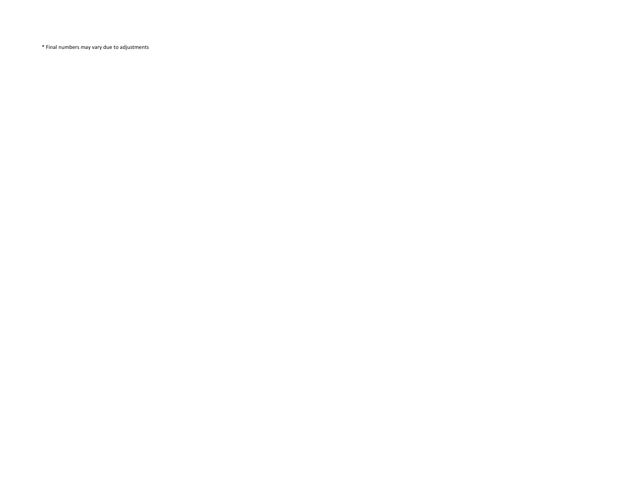\* Final numbers may vary due to adjustments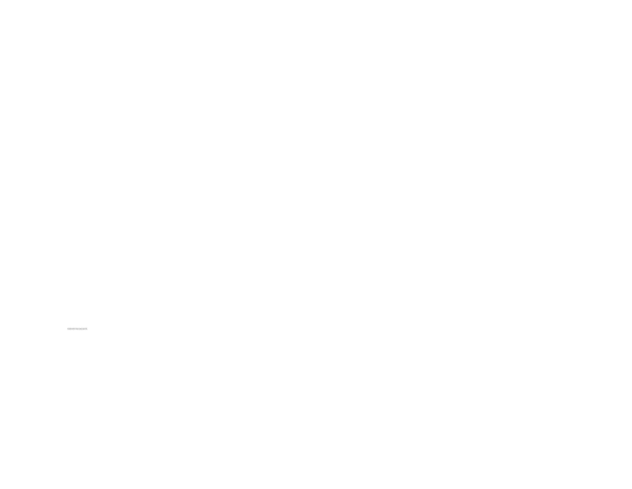$............$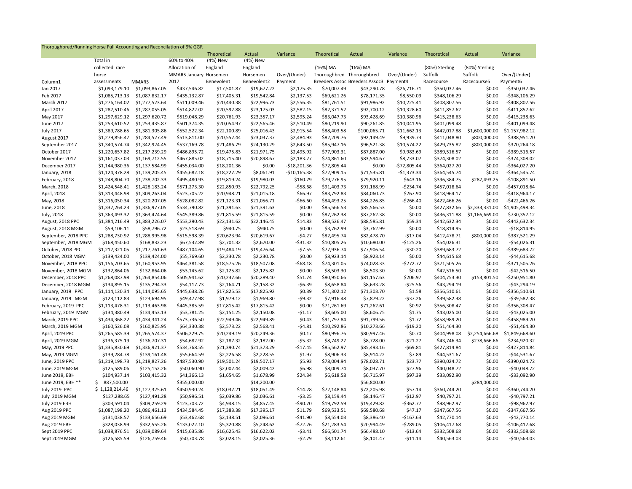| Thoroughbred/Running Horse Full Accounting and Reconcilation of 9% GGR |                            |                |                               |             |             |               |             |                                         |               |                |                |                  |
|------------------------------------------------------------------------|----------------------------|----------------|-------------------------------|-------------|-------------|---------------|-------------|-----------------------------------------|---------------|----------------|----------------|------------------|
|                                                                        |                            |                |                               | Theoretical | Actual      | Variance      | Theoretical | Actual                                  | Variance      | Theoretical    | Actual         | Variance         |
|                                                                        | Total in                   |                | 60% to 40%                    | (4%) New    | (4%) New    |               |             |                                         |               |                |                |                  |
|                                                                        | collected race             |                | Allocation of                 | England     | England     |               | (16%) MA    | (16%) MA                                |               | (80%) Sterling | (80%) Sterling |                  |
|                                                                        | horse                      |                | <b>MMARS January Horsemen</b> |             | Horsemen    | Over/(Under)  |             | Thoroughbred Thoroughbred               | Over/(Under)  | Suffolk        | Suffolk        | Over/(Under)     |
| Column1                                                                | assessments                | <b>MMARS</b>   | 2017                          | Benevolent  | Benevolent2 | Payment       |             | Breeders Assoc Breeders Assoc3 Payment4 |               | Racecourse     | Racecourse5    | Payment6         |
| Jan 2017                                                               | \$1,093,179.10             | \$1,093,867.05 | \$437,546.82                  | \$17,501.87 | \$19,677.22 | \$2,175.35    | \$70,007.49 | \$43,290.78                             | $-$26,716.71$ | \$350,037.46   | \$0.00         | -\$350,037.46    |
| Feb 2017                                                               | \$1,085,713.13             | \$1,087,832.17 | \$435,132.87                  | \$17,405.31 | \$19,542.84 | \$2,137.53    | \$69,621.26 | \$78,171.35                             | \$8,550.09    | \$348,106.29   | \$0.00         | $-$ \$348,106.29 |
| March 2017                                                             | \$1,276,164.02             | \$1,277,523.64 | \$511,009.46                  | \$20,440.38 | \$22,996.73 | \$2,556.35    | \$81,761.51 | \$91,986.92                             | \$10,225.41   | \$408,807.56   | \$0.00         | -\$408,807.56    |
| April 2017                                                             | \$1,287,510.46             | \$1,287,055.05 | \$514,822.02                  | \$20,592.88 | \$23,175.03 | \$2,582.15    | \$82,371.52 | \$92,700.12                             | \$10,328.60   | \$411,857.62   | \$0.00         | $-$ \$411,857.62 |
| May 2017                                                               | \$1,297,629.12             | \$1,297,620.72 | \$519,048.29                  | \$20,761.93 | \$23,357.17 | \$2,595.24    | \$83,047.73 | \$93,428.69                             | \$10,380.96   | \$415,238.63   | \$0.00         | $-5415,238.63$   |
| June 2017                                                              | \$1,253,610.52             | \$1,253,435.87 | \$501,374.35                  | \$20,054.97 | \$22,565.46 | \$2,510.49    | \$80,219.90 | \$90,261.85                             | \$10,041.95   | \$401,099.48   | \$0.00         | $-5401,099.48$   |
| <b>July 2017</b>                                                       | \$1,389,788.65             | \$1,381,305.86 | \$552,522.34                  | \$22,100.89 | \$25,016.43 | \$2,915.54    | \$88,403.58 | \$100,065.71                            | \$11,662.13   | \$442,017.88   | \$1,600,000.00 | \$1,157,982.12   |
| August 2017                                                            | \$1,279,856.47             | \$1,284,527.49 | \$513,811.00                  | \$20,552.44 | \$23,037.37 | \$2,484.93    | \$82,209.76 | \$92,149.49                             | \$9,939.73    | \$411,048.80   | \$800,000.00   | \$388,951.20     |
| September 2017                                                         | \$1,340,574.74             | \$1,342,924.45 | \$537,169.78                  | \$21,486.79 | \$24,130.29 | \$2,643.50    | \$85,947.16 | \$96,521.38                             | \$10,574.22   | \$429,735.82   | \$800,000.00   | \$370,264.18     |
| October 2017                                                           | \$1,220,657.82             | \$1,217,239.29 | \$486,895.72                  | \$19,475.83 | \$21,971.75 | \$2,495.92    | \$77,903.31 | \$87,887.00                             | \$9,983.69    | \$389,516.57   | \$0.00         | $-5389,516.57$   |
| November 2017                                                          | \$1,161,037.03             | \$1,169,712.55 | \$467,885.02                  | \$18,715.40 | \$20,898.67 | \$2,183.27    | \$74,861.60 | \$83,594.67                             | \$8,733.07    | \$374,308.02   | \$0.00         | $-$374,308.02$   |
| December 2017                                                          | \$1,144,980.36             | \$1,137,584.99 | \$455,034.00                  | \$18,201.36 | \$0.00      | $-$18,201.36$ | \$72,805.44 | \$0.00                                  | $-$72,805.44$ | \$364,027.20   | \$0.00         | $-$364,027.20$   |
| January, 2018                                                          | \$1,124,378.28             | \$1,139,205.45 | \$455,682.18                  | \$18,227.29 | \$8,061.91  | $-$10,165.38$ | \$72,909.15 | \$71,535.81                             | $-$1,373.34$  | \$364,545.74   | \$0.00         | $-$ \$364,545.74 |
| February, 2018                                                         | \$1,248,804.70             | \$1,238,702.33 | \$495,480.93                  | \$19,819.24 | \$19,980.03 | \$160.79      | \$79,276.95 | \$79,920.11                             | \$643.16      | \$396,384.75   | \$287,493.25   | $-$108,891.50$   |
| March, 2018                                                            | \$1,424,548.41             | \$1,428,183.24 | \$571,273.30                  | \$22,850.93 | \$22,792.25 | $-558.68$     | \$91,403.73 | \$91,168.99                             | $-5234.74$    | \$457,018.64   | \$0.00         | $-$ \$457,018.64 |
| April, 2018                                                            | \$1,313,448.98             | \$1,309,263.04 | \$523,705.22                  | \$20,948.21 | \$21,015.18 | \$66.97       | \$83,792.83 | \$84,060.73                             | \$267.90      | \$418,964.17   | \$0.00         | $-$418,964.17$   |
| May, 2018                                                              | \$1,316,050.34             | \$1,320,207.05 | \$528,082.82                  | \$21,123.31 | \$21,056.71 | $-$66.60$     | \$84,493.25 | \$84,226.85                             | $-5266.40$    | \$422,466.26   | \$0.00         | $-$422,466.26$   |
| June, 2018                                                             | \$1,337,264.23             | \$1,336,977.05 | \$534,790.82                  | \$21,391.63 | \$21,391.63 | \$0.00        | \$85,566.53 | \$85,566.53                             | \$0.00        | \$427,832.66   | \$2,333,331.00 | \$1,905,498.34   |
| July, 2018                                                             | \$1,363,493.32             | \$1,363,474.64 | \$545,389.86                  | \$21,815.59 | \$21,815.59 | \$0.00        | \$87,262.38 | \$87,262.38                             | \$0.00        | \$436,311.88   | \$1,166,669.00 | \$730,357.12     |
| August, 2018 PPC                                                       | \$1,384,216.49             | \$1,383,226.07 | \$553,290.43                  | \$22,131.62 | \$22,146.45 | \$14.83       | \$88,526.47 | \$88,585.81                             | \$59.34       | \$442,632.34   | \$0.00         | $-$ \$442,632.34 |
| August, 2018 MGM                                                       | \$59,106.11                | \$58,796.72    | \$23,518.69                   | \$940.75    | \$940.75    | \$0.00        | \$3,762.99  | \$3,762.99                              | \$0.00        | \$18,814.95    | \$0.00         | $-$18,814.95$    |
| September, 2018 PPC                                                    | \$1,288,730.92             | \$1,288,995.98 | \$515,598.39                  | \$20,623.94 | \$20,619.67 | $-54.27$      | \$82,495.74 | \$82,478.70                             | $-$17.04$     | \$412,478.71   | \$800,000.00   | \$387,521.29     |
| September, 2018 MGM                                                    | \$168,450.60               | \$168,832.23   | \$67,532.89                   | \$2,701.32  | \$2,670.00  | $-531.32$     | \$10,805.26 | \$10,680.00                             | $-$125.26$    | \$54,026.31    | \$0.00         | $-$54,026.31$    |
| October, 2018 PPC                                                      | \$1,217,321.05             | \$1,217,761.63 | \$487,104.65                  | \$19,484.19 | \$19,476.64 | $-57.55$      | \$77,936.74 | \$77,906.54                             | $-$ \$30.20   | \$389,683.72   | \$0.00         | -\$389,683.72    |
| October, 2018 MGM                                                      | \$139,424.00               | \$139,424.00   | \$55,769.60                   | \$2,230.78  | \$2,230.78  | \$0.00        | \$8,923.14  | \$8,923.14                              | \$0.00        | \$44,615.68    | \$0.00         | $-$44,615.68$    |
| November, 2018 PPC                                                     | \$1,156,703.65             | \$1,160,953.95 | \$464,381.58                  | \$18,575.26 | \$18,507.08 | $-568.18$     | \$74,301.05 | \$74,028.33                             | $-5272.72$    | \$371,505.26   | \$0.00         | $-$ \$371,505.26 |
| November, 2018 MGM                                                     | \$132,864.06               | \$132,864.06   | \$53,145.62                   | \$2,125.82  | \$2,125.82  | \$0.00        | \$8,503.30  | \$8,503.30                              | \$0.00        | \$42,516.50    | \$0.00         | $-$ \$42,516.50  |
| December, 2018 PPC                                                     | \$1,268,087.98             | \$1,264,854.06 | \$505,941.62                  | \$20,237.66 | \$20,289.40 | \$51.74       | \$80,950.66 | \$81,157.63                             | \$206.97      | \$404,753.30   | \$153,801.50   | $-$250,951.80$   |
| December, 2018 MGM                                                     | \$134,895.15               | \$135,294.33   | \$54,117.73                   | \$2,164.71  | \$2,158.32  | $-56.39$      | \$8,658.84  | \$8,633.28                              | $-$ \$25.56   | \$43,294.19    | \$0.00         | $-$ \$43,294.19  |
| January, 2019 PPC                                                      | \$1,114,120.34             | \$1,114,095.65 | \$445,638.26                  | \$17,825.53 | \$17,825.92 | \$0.39        | \$71,302.12 | \$71,303.70                             | \$1.58        | \$356,510.61   | \$0.00         | $-$ \$356,510.61 |
| January, 2019 MGM                                                      | \$123,112.83               | \$123,694.95   | \$49,477.98                   | \$1,979.12  | \$1,969.80  | $-59.32$      | \$7,916.48  | \$7,879.22                              | $-$ \$37.26   | \$39,582.38    | \$0.00         | $-$ \$39,582.38  |
| February, 2019 PPC                                                     | \$1,113,478.31             | \$1,113,463.98 | \$445,385.59                  | \$17,815.42 | \$17,815.42 | \$0.00        | \$71,261.69 | \$71,262.61                             | \$0.92        | \$356,308.47   | \$0.00         | $-$ \$356,308.47 |
| February, 2019 MGM                                                     | \$134,380.49               | \$134,453.13   | \$53,781.25                   | \$2,151.25  | \$2,150.08  | $-51.17$      | \$8,605.00  | \$8,606.75                              | \$1.75        | \$43,025.00    | \$0.00         | $-$43,025.00$    |
| March, 2019 PPC                                                        | \$1,434,368.22             | \$1,434,341.24 | \$573,736.50                  | \$22,949.46 | \$22,949.89 | \$0.43        | \$91,797.84 | \$91,799.56                             | \$1.72        | \$458,989.20   | \$0.00         | $-$ \$458,989.20 |
| March, 2019 MGM                                                        | \$160,526.08               | \$160,825.95   | \$64,330.38                   | \$2,573.22  | \$2,568.41  | $-54.81$      | \$10,292.86 | \$10,273.66                             | $-$19.20$     | \$51,464.30    | \$0.00         | $-$51,464.30$    |
| April, 2019 PPC                                                        | \$1,265,585.39             | \$1,265,574.37 | \$506,229.75                  | \$20,249.19 | \$20,249.36 | \$0.17        | \$80,996.76 | \$80,997.46                             | \$0.70        | \$404,998.08   | \$2,254,666.68 | \$1,849,668.60   |
| April, 2019 MGM                                                        | \$136,375.19               | \$136,707.31   | \$54,682.92                   | \$2,187.32  | \$2,182.00  | $-55.32$      | \$8,749.27  | \$8,728.00                              | $-521.27$     | \$43,746.34    | \$278,666.66   | \$234,920.32     |
| May, 2019 PPC                                                          | \$1,335,830.69             | \$1,336,921.37 | \$534,768.55                  | \$21,390.74 | \$21,373.29 | $-517.45$     | \$85,562.97 | \$85,493.16                             | $-$69.81$     | \$427,814.84   | \$0.00         | $-$427,814.84$   |
| May, 2019 MGM                                                          | \$139,284.78               | \$139,161.48   | \$55,664.59                   | \$2,226.58  | \$2,228.55  | \$1.97        | \$8,906.33  | \$8,914.22                              | \$7.89        | \$44,531.67    | \$0.00         | $-$44,531.67$    |
| June, 2019 PPC                                                         | \$1,219,198.73             | \$1,218,827.26 | \$487,530.90                  | \$19,501.24 | \$19,507.17 | \$5.93        | \$78,004.94 | \$78,028.71                             | \$23.77       | \$390,024.72   | \$0.00         | $-$390,024.72$   |
| June, 2019 MGM                                                         | \$125,589.06               | \$125,152.26   | \$50,060.90                   | \$2,002.44  | \$2,009.42  | \$6.98        | \$8,009.74  | \$8,037.70                              | \$27.96       | \$40,048.72    | \$0.00         | $-540,048.72$    |
| June 2019, EBH                                                         | \$104,937.14               | \$103,415.32   | \$41,366.13                   | \$1,654.65  | \$1,678.99  | \$24.34       | \$6,618.58  | \$6,715.97                              | \$97.39       | \$33,092.90    | \$0.00         | $-533,092.90$    |
| June 2019, EBH **                                                      | 887,500.00<br>$\mathsf{S}$ |                | \$355,000.00                  |             | \$14,200.00 |               |             | \$56,800.00                             |               |                | \$284,000.00   |                  |
| <b>July 2019 PPC</b>                                                   | \$1,128,214.46             | \$1,127,325.61 | \$450,930.24                  | \$18,037.21 | \$18,051.49 | \$14.28       | \$72,148.84 | \$72,205.98                             | \$57.14       | \$360,744.20   | \$0.00         | -\$360,744.20    |
| July 2019 MGM                                                          | \$127,288.65               | \$127,491.28   | \$50,996.51                   | \$2,039.86  | \$2,036.61  | $-53.25$      | \$8,159.44  | \$8,146.47                              | $-$12.97$     | \$40,797.21    | \$0.00         | $-$ \$40,797.21  |
| <b>July 2019 EBH</b>                                                   | \$303,591.04               | \$309,259.29   | \$123,703.72                  | \$4,948.15  | \$4,857.45  | $-$ \$90.70   | \$19,792.59 | \$19,429.82                             | $-5362.77$    | \$98,962.97    | \$0.00         | -\$98,962.97     |
| Aug 2019 PPC                                                           | \$1,087,198.20             | \$1,086,461.13 | \$434,584.45                  | \$17,383.38 | \$17,395.17 | \$11.79       | \$69,533.51 | \$69,580.68                             | \$47.17       | \$347,667.56   | \$0.00         | -\$347,667.56    |
|                                                                        |                            |                |                               |             |             |               |             |                                         |               |                |                | $-$42,770.14$    |
| Aug 2019 MGM                                                           | \$131,038.57               | \$133,656.69   | \$53,462.68                   | \$2,138.51  | \$2,096.61  | $-541.90$     | \$8,554.03  | \$8,386.40                              | $-$167.63$    | \$42,770.14    | \$0.00         |                  |
| Aug 2019 EBH                                                           | \$328,038.99               | \$332,555.26   | \$133,022.10                  | \$5,320.88  | \$5,248.62  | -\$72.26      | \$21,283.54 | \$20,994.49                             | $-$289.05$    | \$106,417.68   | \$0.00         | $-$106,417.68$   |
| Sept 2019 PPC                                                          | \$1,038,876.51             | \$1,039,089.64 | \$415,635.86                  | \$16,625.43 | \$16,622.02 | $-53.41$      | \$66,501.74 | \$66,488.10                             | $-$13.64$     | \$332,508.68   | \$0.00         | $-$ \$332,508.68 |
| Sept 2019 MGM                                                          | \$126,585.59               | \$126,759.46   | \$50,703.78                   | \$2,028.15  | \$2,025.36  | $-52.79$      | \$8,112.61  | \$8,101.47                              | $-511.14$     | \$40,563.03    | \$0.00         | $-$40,563.03$    |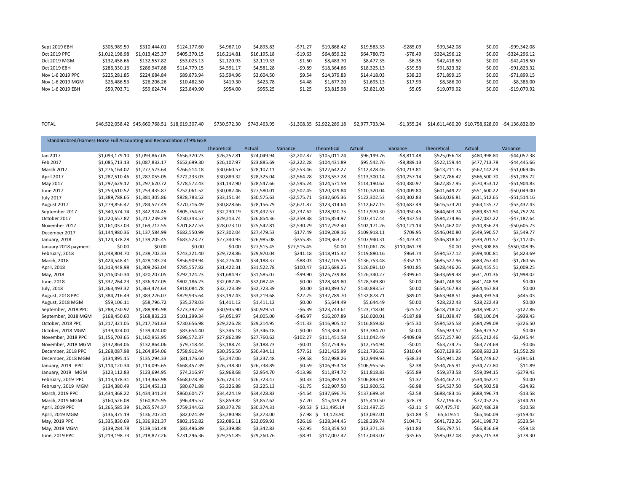| Sept 2019 EBH    | \$305.989.59   | \$310.444.01   | \$124.177.60 | \$4,967.10  | \$4.895.83  | $-571.27$ | \$19.868.42 | \$19.583.33 | $-5285.09$ | \$99.342.08  | \$0.00 | $-$ \$99,342.08 |
|------------------|----------------|----------------|--------------|-------------|-------------|-----------|-------------|-------------|------------|--------------|--------|-----------------|
| Oct 2019 PPC     | \$1.012.198.98 | \$1.013.425.37 | \$405.370.15 | \$16,214.81 | \$16.195.18 | -\$19.63  | \$64.859.22 | \$64,780,73 | $-578.49$  | \$324.296.12 | \$0.00 | -\$324.296.12   |
| Oct 2019 MGM     | \$132,458.66   | \$132.557.82   | \$53,023.13  | \$2,120.93  | \$2,119.33  | -\$1.60   | \$8.483.70  | \$8,477.35  | $-56.35$   | \$42,418.50  | \$0.00 | $-542,418.50$   |
| Oct 2019 EBH     | \$286.330.16   | \$286.947.88   | \$114,779.15 | \$4.591.17  | \$4.581.28  | -\$9.89   | \$18,364.66 | \$18.325.13 | $-539.53$  | \$91.823.32  | \$0.00 | $-591,823.32$   |
| Nov 1-6 2019 PPC | \$225.281.85   | \$224.684.84   | \$89,873.94  | \$3,594.96  | \$3.604.50  | \$9.54    | \$14.379.83 | \$14,418.03 | \$38.20    | \$71,899.15  | \$0.00 | -\$71,899.15    |
| Nov 1-6 2019 MGM | \$26.486.53    | \$26.206.26    | \$10,482.50  | \$419.30    | \$423.78    | \$4.48    | \$1,677.20  | \$1.695.13  | \$17.93    | \$8,386.00   | \$0.00 | $-$ \$8,386.00  |
| Nov 1-6 2019 EBH | \$59,703.71    | \$59.624.74    | \$23,849.90  | \$954.00    | \$955.25    | \$1.25    | \$3,815.98  | \$3,821.03  | \$5.05     | \$19,079.92  | \$0.00 | $-$19,079.92$   |
|                  |                |                |              |             |             |           |             |             |            |              |        |                 |

TOTAL \$46,522,058.42 \$45,660,768.51 \$18,619,307.40 \$730,572.30 \$743,463.95 -\$1,308.35 \$2,922,289.18 \$2,977,733.94 -\$1,355.24 \$14,611,460.20 \$10,758,628.09 -\$4,136,832.09

| Standardbred/Harness Horse Full Accounting and Reconcilation of 9% GGR |                |                |              |             |             |              |                        |              |                |              |              |                 |
|------------------------------------------------------------------------|----------------|----------------|--------------|-------------|-------------|--------------|------------------------|--------------|----------------|--------------|--------------|-----------------|
|                                                                        |                |                |              | Theoretical | Actual      | Variance     | Theoretical            | Actual       | Variance       | Theoretical  | Actual       | Variance        |
| Jan 2017                                                               | \$1,093,179.10 | \$1,093,867.05 | \$656,320.23 | \$26,252.81 | \$24,049.94 | $-52,202.87$ | \$105,011.24           | \$96,199.76  | $-58,811.48$   | \$525,056.18 | \$480,998.80 | $-$ \$44,057.38 |
| Feb 2017                                                               | \$1,085,713.13 | \$1,087,832.17 | \$652,699.30 | \$26,107.97 | \$23,885.69 | $-52,222.28$ | \$104,431.89           | \$95,542.76  | $-58,889.13$   | \$522,159.44 | \$477,713.78 | $-$ \$44,445.66 |
| March 2017                                                             | \$1,276,164.02 | \$1,277,523.64 | \$766,514.18 | \$30,660.57 | \$28,107.11 | $-52,553.46$ | \$122,642.27           | \$112,428.46 | $-$10,213.81$  | \$613,211.35 | \$562,142.29 | $-$51,069.06$   |
| April 2017                                                             | \$1,287,510.46 | \$1,287,055.05 | \$772,233.03 | \$30,889.32 | \$28,325.04 | $-52,564.28$ | \$123,557.28           | \$113,300.14 | $-510,257.14$  | \$617,786.42 | \$566,500.70 | $-551,285.72$   |
| May 2017                                                               | \$1,297,629.12 | \$1,297,620.72 | \$778,572.43 | \$31,142.90 | \$28,547.66 | $-52,595.24$ | \$124,571.59           | \$114,190.62 | $-$10,380.97$  | \$622,857.95 | \$570,953.12 | $-$51,904.83$   |
| June 2017                                                              | \$1,253,610.52 | \$1,253,435.87 | \$752,061.52 | \$30,082.46 | \$27,580.01 | $-52,502.45$ | \$120,329.84           | \$110,320.04 | $-$10,009.80$  | \$601,649.22 | \$551,600.22 | $-$50,049.00$   |
| <b>July 2017</b>                                                       | \$1,389,788.65 | \$1,381,305.86 | \$828,783.52 | \$33,151.34 | \$30,575.63 | $-52,575.71$ | \$132,605.36           | \$122,302.53 | $-$10,302.83$  | \$663,026.81 | \$611,512.65 | $-$ \$51,514.16 |
| August 2017                                                            | \$1,279,856.47 | \$1,284,527.49 | \$770,716.49 | \$30,828.66 | \$28,156.79 | $-52,671.87$ | \$123,314.64           | \$112,627.15 | $-$10,687.49$  | \$616,573.20 | \$563,135.77 | $-$ \$53,437.43 |
| September 2017                                                         | \$1,340,574.74 | \$1,342,924.45 | \$805,754.67 | \$32,230.19 | \$29,492.57 | $-52,737.62$ | \$128,920.75           | \$117,970.30 | $-$10,950.45$  | \$644,603.74 | \$589,851.50 | $-$ \$54,752.24 |
| October 2017                                                           | \$1,220,657.82 | \$1,217,239.29 | \$730,343.57 | \$29,213.74 | \$26,854.36 | $-52,359.38$ | \$116,854.97           | \$107,417.44 | $-59,437.53$   | \$584,274.86 | \$537,087.22 | $-547,187.64$   |
| November 2017                                                          | \$1,161,037.03 | \$1,169,712.55 | \$701,827.53 | \$28,073.10 | \$25,542.81 | $-52,530.29$ | \$112,292.40           | \$102,171.26 | $-510, 121.14$ | \$561,462.02 | \$510,856.29 | $-$50,605.73$   |
| December 2017                                                          | \$1,144,980.36 | \$1,137,584.99 | \$682,550.99 | \$27,302.04 | \$27,479.53 | \$177.49     | \$109,208.16           | \$109,918.11 | \$709.95       | \$546,040.80 | \$549,590.57 | \$3,549.77      |
| January, 2018                                                          | \$1,124,378.28 | \$1,139,205.45 | \$683,523.27 | \$27,340.93 | \$26,985.08 | $-5355.85$   | \$109,363.72           | \$107,940.31 | $-51,423.41$   | \$546,818.62 | \$539,701.57 | $-57,117.05$    |
| January 2018 payment                                                   | \$0.00         | \$0.00         | \$0.00       | \$0.00      | \$27,515.45 | \$27,515.45  | \$0.00                 | \$110,061.78 | \$110,061.78   | \$0.00       | \$550,308.85 | \$550,308.95    |
| February, 2018                                                         | \$1,248,804.70 | \$1,238,702.33 | \$743,221.40 | \$29,728.86 | \$29,970.04 | \$241.18     | \$118,915.42           | \$119,880.16 | \$964.74       | \$594,577.12 | \$599,400.81 | \$4,823.69      |
| March, 2018                                                            | \$1,424,548.41 | \$1,428,183.24 | \$856,909.94 | \$34,276.40 | \$34,188.37 | $-588.03$    | \$137,105.59           | \$136,753.48 | $-$ \$352.11   | \$685,527.96 | \$683,767.40 | $-$1,760.56$    |
| April, 2018                                                            | \$1,313,448.98 | \$1,309,263.04 | \$785,557.82 | \$31,422.31 | \$31,522.78 | \$100.47     | \$125,689.25           | \$126,091.10 | \$401.85       | \$628,446.26 | \$630,455.51 | \$2,009.25      |
| May, 2018                                                              | \$1,316,050.34 | \$1,320,207.05 | \$792,124.23 | \$31,684.97 | \$31,585.07 | $-599.90$    | \$126,739.88           | \$126,340.27 | $-5399.61$     | \$633,699.38 | \$631,701.36 | $-$1,998.02$    |
| June, 2018                                                             | \$1,337,264.23 | \$1,336,977.05 | \$802,186.23 | \$32,087.45 | \$32,087.45 | \$0.00       | \$128,349.80           | \$128,349.80 | \$0.00         | \$641,748.98 | \$641,748.98 | \$0.00          |
| July, 2018                                                             | \$1,363,493.32 | \$1,363,474.64 | \$818,084.78 | \$32,723.39 | \$32,723.39 | \$0.00       | \$130,893.57           | \$130,893.57 | \$0.00         | \$654,467.83 | \$654,467.83 | \$0.00          |
| August, 2018 PPC                                                       | \$1,384,216.49 | \$1,383,226.07 | \$829,935.64 | \$33,197.43 | \$33,219.68 | \$22.25      | \$132,789.70           | \$132,878.71 | \$89.01        | \$663,948.51 | \$664,393.54 | \$445.03        |
| August, 2018 MGM                                                       | \$59,106.11    | \$58,796.72    | \$35,278.03  | \$1,411.12  | \$1,411.12  | \$0.00       | \$5,644.49             | \$5,644.49   | \$0.00         | \$28,222.43  | \$28,222.43  | \$0.00          |
| September, 2018 PPC                                                    | \$1,288,730.92 | \$1,288,995.98 | \$773,397.59 | \$30,935.90 | \$30,929.51 | $-56.39$     | \$123,743.61           | \$123,718.04 | $-525.57$      | \$618,718.07 | \$618,590.21 | $-$127.86$      |
| September, 2018 MGM                                                    | \$168,450.60   | \$168,832.23   | \$101,299.34 | \$4,051.97  | \$4,005.00  | $-546.97$    | \$16,207.89            | \$16,020.01  | $-$187.88$     | \$81,039.47  | \$80,100.04  | $-5939.43$      |
| October, 2018 PPC                                                      | \$1,217,321.05 | \$1,217,761.63 | \$730,656.98 | \$29,226.28 | \$29,214.95 | $-511.33$    | \$116,905.12           | \$116,859.82 | $-545.30$      | \$584,525.58 | \$584,299.08 | $-5226.50$      |
| October, 2018 MGM                                                      | \$139,424.00   | \$139,424.00   | \$83,654.40  | \$3,346.18  | \$3,346.18  | \$0.00       | \$13,384.70            | \$13,384.70  | \$0.00         | \$66,923.52  | \$66,923.52  | \$0.00          |
| November, 2018 PPC                                                     | \$1,156,703.65 | \$1,160,953.95 | \$696,572.37 | \$27,862.89 | \$27,760.62 | $-$102.27$   | \$111,451.58           | \$111,042.49 | $-$ \$409.09   | \$557,257.90 | \$555,212.46 | $-52,045.44$    |
| November, 2018 MGM                                                     | \$132,864.06   | \$132,864.06   | \$79,718.44  | \$3,188.74  | \$3,188.73  | $-50.01$     | \$12,754.95            | \$12,754.94  | $-50.01$       | \$63,774.75  | \$63,774.69  | $-50.06$        |
| December, 2018 PPC                                                     | \$1,268,087.98 | \$1,264,854.06 | \$758,912.44 | \$30,356.50 | \$30,434.11 | \$77.61      | \$121,425.99           | \$121,736.63 | \$310.64       | \$607,129.95 | \$608,682.23 | \$1,552.28      |
| December, 2018 MGM                                                     | \$134,895.15   | \$135,294.33   | \$81,176.60  | \$3,247.06  | \$3,237.48  | $-59.58$     | \$12,988.26            | \$12,949.93  | $-538.33$      | \$64,941.28  | \$64,749.67  | $-$191.61$      |
| January, 2019 PPC                                                      | \$1,114,120.34 | \$1,114,095.65 | \$668,457.39 | \$26,738.30 | \$26,738.89 | \$0.59       | \$106,953.18           | \$106,955.56 | \$2.38         | \$534,765.91 | \$534,777.80 | \$11.89         |
| January, 2019 MGM                                                      | \$123,112.83   | \$123,694.95   | \$74,216.97  | \$2,968.68  | \$2,954.70  | $-513.98$    | \$11,874.72            | \$11,818.83  | $-555.89$      | \$59,373.58  | \$59,094.15  | $-5279.43$      |
| February, 2019 PPC                                                     | \$1,113,478.31 | \$1,113,463.98 | \$668,078.39 | \$26,723.14 | \$26,723.47 | \$0.33       | \$106,892.54           | \$106,893.91 | \$1.37         | \$534,462.71 | \$534,462.71 | \$0.00          |
| February, 2019 MGM                                                     | \$134,380.49   | \$134,453.13   | \$80,671.88  | \$3,226.88  | \$3,225.13  | $-51.75$     | \$12,907.50            | \$12,900.52  | $-56.98$       | \$64,537.50  | \$64,502.58  | $-534.92$       |
| March, 2019 PPC                                                        | \$1,434,368.22 | \$1,434,341.24 | \$860,604.77 | \$34,424.19 | \$34,428.83 | $-54.64$     | \$137,696.76           | \$137,699.34 | $-52.58$       | \$688,483.16 | \$688,496.74 | $-513.58$       |
| March, 2019 MGM                                                        | \$160,526.08   | \$160,825.95   | \$96,495.57  | \$3,859.82  | \$3,852.62  | \$7.20       | \$15,439.29            | \$15,410.50  | \$28.79        | \$77,196.45  | \$77,052.25  | \$144.20        |
| April, 2019 PPC                                                        | \$1,265,585.39 | \$1,265,574.37 | \$759,344.62 | \$30,373.78 | \$30,374.31 |              | $-50.53$ \$ 121,495.14 | \$121,497.25 | $-52.11$ \$    | 607,475.70   | \$607,486.28 | \$10.58         |
| April, 2019 MGM                                                        | \$136,375.19   | \$136,707.31   | \$82,024.39  | \$3,280.98  | \$3,273.00  |              | \$7.98 \$ 13,123.90    | \$13,092.01  | $$31.89$ \$    | 65,619.51    | \$65,460.09  | $-$159.42$      |
| May, 2019 PPC                                                          | \$1,335,830.69 | \$1,336,921.37 | \$802,152.82 | \$32,086.11 | \$32,059.93 | \$26.18      | \$128,344.45           | \$128,239.74 | \$104.71       | \$641,722.26 | \$641,198.72 | \$523.54        |
| May, 2019 MGM                                                          | \$139,284.78   | \$139,161.48   | \$83,496.89  | \$3,339.88  | \$3,342.83  | $-52.95$     | \$13,359.50            | \$13,371.33  | $-511.83$      | \$66,797.51  | \$66,856.69  | $-559.18$       |
| June, 2019 PPC                                                         | \$1,219,198.73 | \$1,218,827.26 | \$731,296.36 | \$29,251.85 | \$29,260.76 | $-58.91$     | \$117,007.42           | \$117,043.07 | $-535.65$      | \$585,037.08 | \$585,215.38 | \$178.30        |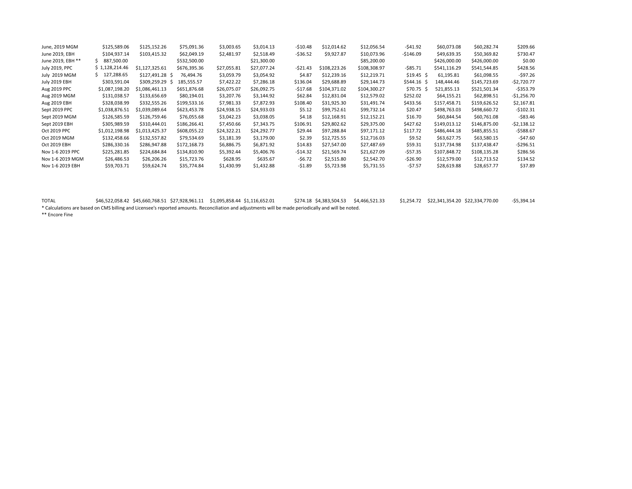| June, 2019 MGM       | \$125,589.06   | \$125,152.26    | \$75,091.36  | \$3,003.65  | \$3,014.13  | $-510.48$ | \$12,014.62  | \$12,056.54  | $-541.92$    | \$60,073.08  | \$60,282.74  | \$209.66     |
|----------------------|----------------|-----------------|--------------|-------------|-------------|-----------|--------------|--------------|--------------|--------------|--------------|--------------|
| June 2019, EBH       | \$104,937.14   | \$103,415.32    | \$62,049.19  | \$2,481.97  | \$2,518.49  | $-536.52$ | \$9,927.87   | \$10,073.96  | $-$ \$146.09 | \$49,639.35  | \$50,369.82  | \$730.47     |
| June 2019, EBH **    | 887,500.00     |                 | \$532,500.00 |             | \$21,300.00 |           |              | \$85,200.00  |              | \$426,000.00 | \$426,000.00 | \$0.00       |
| July 2019, PPC       | \$1,128,214.46 | \$1,127,325.61  | \$676,395.36 | \$27,055.81 | \$27,077.24 | $-521.43$ | \$108,223.26 | \$108,308.97 | $-$ \$85.71  | \$541,116.29 | \$541,544.85 | \$428.56     |
| July 2019 MGM        | 127,288.65     | \$127,491.28 \$ | 76,494.76    | \$3,059.79  | \$3,054.92  | \$4.87    | \$12,239.16  | \$12,219.71  | $$19.45$ \$  | 61,195.81    | \$61,098.55  | -\$97.26     |
| <b>July 2019 EBH</b> | \$303,591.04   | \$309.259.29 \$ | 185.555.57   | \$7,422.22  | \$7.286.18  | \$136.04  | \$29.688.89  | \$29,144.73  | \$544.16     | 148.444.46   | \$145,723.69 | $-52,720.77$ |
| Aug 2019 PPC         | \$1,087,198.20 | \$1.086.461.13  | \$651,876.68 | \$26,075.07 | \$26.092.75 | $-517.68$ | \$104,371.02 | \$104,300.27 | \$70.75      | 521.855.13   | \$521,501.34 | -\$353.79    |
| Aug 2019 MGM         | \$131,038.57   | \$133,656.69    | \$80,194.01  | \$3,207.76  | \$3,144.92  | \$62.84   | \$12,831.04  | \$12,579.02  | \$252.02     | \$64,155.21  | \$62,898.51  | $-$1,256.70$ |
| Aug 2019 EBH         | \$328,038.99   | \$332,555.26    | \$199,533.16 | \$7,981.33  | \$7,872.93  | \$108.40  | \$31,925.30  | \$31,491.74  | \$433.56     | \$157,458.71 | \$159,626.52 | \$2,167.81   |
| Sept 2019 PPC        | \$1,038,876.51 | \$1.039.089.64  | \$623,453.78 | \$24,938.15 | \$24,933.03 | \$5.12    | \$99,752.61  | \$99,732.14  | \$20.47      | \$498,763.03 | \$498,660.72 | $-5102.31$   |
| Sept 2019 MGM        | \$126,585.59   | \$126,759.46    | \$76,055.68  | \$3,042.23  | \$3,038.05  | \$4.18    | \$12,168.91  | \$12,152.21  | \$16.70      | \$60.844.54  | \$60,761.08  | -\$83.46     |
| Sept 2019 EBH        | \$305,989.59   | \$310.444.01    | \$186,266.41 | \$7,450.66  | \$7,343.75  | \$106.91  | \$29,802.62  | \$29,375.00  | \$427.62     | \$149,013.12 | \$146,875.00 | $-52,138.12$ |
| Oct 2019 PPC         | \$1,012,198.98 | \$1,013,425.37  | \$608,055.22 | \$24,322.21 | \$24,292.77 | \$29.44   | \$97,288.84  | \$97,171.12  | \$117.72     | \$486,444.18 | \$485,855.51 | $-5588.67$   |
| Oct 2019 MGM         | \$132,458.66   | \$132,557.82    | \$79,534.69  | \$3,181.39  | \$3.179.00  | \$2.39    | \$12.725.55  | \$12,716.03  | \$9.52       | \$63.627.75  | \$63,580.15  | $-547.60$    |
| Oct 2019 EBH         | \$286,330.16   | \$286,947.88    | \$172,168.73 | \$6,886.75  | \$6,871.92  | \$14.83   | \$27,547.00  | \$27,487.69  | \$59.31      | \$137,734.98 | \$137,438.47 | $-5296.51$   |
| Nov 1-6 2019 PPC     | \$225,281.85   | \$224,684.84    | \$134,810.90 | \$5,392.44  | \$5,406.76  | $-514.32$ | \$21,569.74  | \$21,627.09  | -\$57.35     | \$107,848.72 | \$108,135.28 | \$286.56     |
| Nov 1-6 2019 MGM     | \$26,486.53    | \$26,206.26     | \$15,723.76  | \$628.95    | \$635.67    | $-56.72$  | \$2,515.80   | \$2,542.70   | $-526.90$    | \$12.579.00  | \$12,713.52  | \$134.52     |
| Nov 1-6 2019 EBH     | \$59,703.71    | \$59,624.74     | \$35.774.84  | \$1,430.99  | \$1,432.88  | $-51.89$  | \$5,723.98   | \$5,731.55   | $-57.57$     | \$28,619.88  | \$28,657.77  | \$37.89      |
|                      |                |                 |              |             |             |           |              |              |              |              |              |              |

TOTAL \$46,522,058.42 \$45,660,768.51 \$27,928,961.11 \$1,095,858.44 \$1,116,652.01 \$274.18 \$4,383,504.53 \$4,466,521.33 \$1,254.72 \$22,341,354.20 \$22,334,770.00 -\$5,394.14

\* Calculations are based on CMS billing and Licensee's reported amounts. Reconciliation and adjustments will be made periodically and will be noted.

\*\* Encore Fine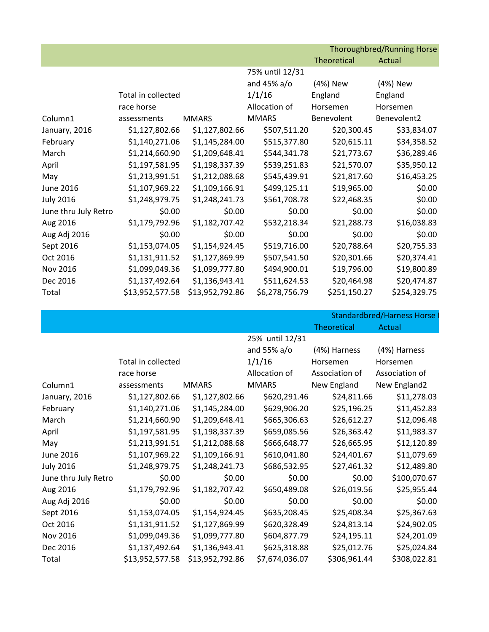|                      |                    |                 |                 |                    | <b>Thoroughbred/Running Horse</b> |
|----------------------|--------------------|-----------------|-----------------|--------------------|-----------------------------------|
|                      |                    |                 |                 | <b>Theoretical</b> | Actual                            |
|                      |                    |                 | 75% until 12/31 |                    |                                   |
|                      |                    |                 | and $45% a/o$   | (4%) New           | (4%) New                          |
|                      | Total in collected |                 | 1/1/16          | England            | England                           |
|                      | race horse         |                 | Allocation of   | Horsemen           | Horsemen                          |
| Column1              | assessments        | <b>MMARS</b>    | <b>MMARS</b>    | Benevolent         | Benevolent2                       |
| January, 2016        | \$1,127,802.66     | \$1,127,802.66  | \$507,511.20    | \$20,300.45        | \$33,834.07                       |
| February             | \$1,140,271.06     | \$1,145,284.00  | \$515,377.80    | \$20,615.11        | \$34,358.52                       |
| March                | \$1,214,660.90     | \$1,209,648.41  | \$544,341.78    | \$21,773.67        | \$36,289.46                       |
| April                | \$1,197,581.95     | \$1,198,337.39  | \$539,251.83    | \$21,570.07        | \$35,950.12                       |
| May                  | \$1,213,991.51     | \$1,212,088.68  | \$545,439.91    | \$21,817.60        | \$16,453.25                       |
| June 2016            | \$1,107,969.22     | \$1,109,166.91  | \$499,125.11    | \$19,965.00        | \$0.00                            |
| <b>July 2016</b>     | \$1,248,979.75     | \$1,248,241.73  | \$561,708.78    | \$22,468.35        | \$0.00                            |
| June thru July Retro | \$0.00             | \$0.00          | \$0.00          | \$0.00             | \$0.00                            |
| Aug 2016             | \$1,179,792.96     | \$1,182,707.42  | \$532,218.34    | \$21,288.73        | \$16,038.83                       |
| Aug Adj 2016         | \$0.00             | \$0.00          | \$0.00          | \$0.00             | \$0.00                            |
| Sept 2016            | \$1,153,074.05     | \$1,154,924.45  | \$519,716.00    | \$20,788.64        | \$20,755.33                       |
| Oct 2016             | \$1,131,911.52     | \$1,127,869.99  | \$507,541.50    | \$20,301.66        | \$20,374.41                       |
| Nov 2016             | \$1,099,049.36     | \$1,099,777.80  | \$494,900.01    | \$19,796.00        | \$19,800.89                       |
| Dec 2016             | \$1,137,492.64     | \$1,136,943.41  | \$511,624.53    | \$20,464.98        | \$20,474.87                       |
| Total                | \$13,952,577.58    | \$13,952,792.86 | \$6,278,756.79  | \$251,150.27       | \$254,329.75                      |

Theoretical Actual Column1 Total in collected race horse assessments MMARS 25% until 12/31 and 55% a/o 1/1/16 Allocation of MMARS (4%) Harness Horsemen Association of New England (4%) Harness Horsemen Association of New England2 January, 2016 \$1,127,802.66 \$1,127,802.66 \$620,291.46 \$24,811.66 \$11,278.03 February \$1,140,271.06 \$1,145,284.00 \$629,906.20 \$25,196.25 \$11,452.83 March \$1,214,660.90 \$1,209,648.41 \$665,306.63 \$26,612.27 \$12,096.48 April \$1,197,581.95 \$1,198,337.39 \$659,085.56 \$26,363.42 \$11,983.37 May  $$1,213,991.51$   $$1,212,088.68$   $$666,648.77$   $$26,665.95$   $$12,120.89$ June 2016 \$1,107,969.22 \$1,109,166.91 \$610,041.80 \$24,401.67 \$11,079.69 July 2016 \$1,248,979.75 \$1,248,241.73 \$686,532.95 \$27,461.32 \$12,489.80 June thru July Retro \$0.00 \$0.00 \$0.00 \$0.00 \$0.00 \$100,070.67 Aug 2016 \$1,179,792.96 \$1,182,707.42 \$650,489.08 \$26,019.56 \$25,955.44 Aug Adj 2016 \$0.00 \$0.00 \$0.00 \$0.00 \$0.00 Sept 2016 \$1,153,074.05 \$1,154,924.45 \$635,208.45 \$25,408.34 \$25,367.63 Oct 2016 \$1,131,911.52 \$1,127,869.99 \$620,328.49 \$24,813.14 \$24,902.05 Nov 2016 \$1,099,049.36 \$1,099,777.80 \$604,877.79 \$24,195.11 \$24,201.09 Dec 2016 \$1,137,492.64 \$1,136,943.41 \$625,318.88 \$25,012.76 \$25,024.84 Total \$13,952,577.58 \$13,952,792.86 \$7,674,036.07 \$306,961.44 \$308,022.81 Standardbred/Harness Horse F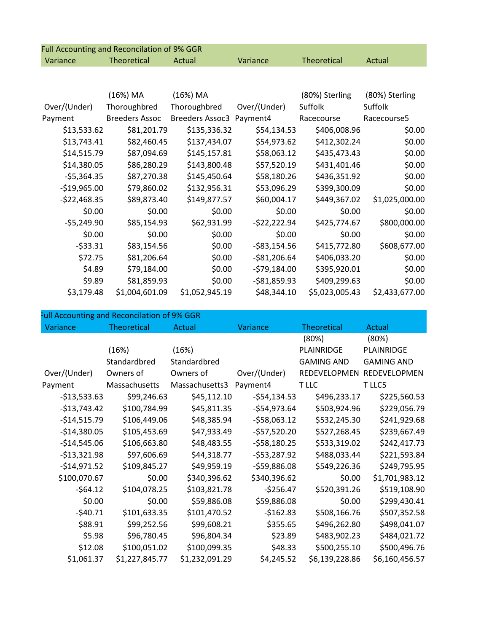|               | Full Accounting and Reconcilation of 9% GGR |                          |                 |                |                |
|---------------|---------------------------------------------|--------------------------|-----------------|----------------|----------------|
| Variance      | Theoretical                                 | Actual                   | Variance        | Theoretical    | Actual         |
|               |                                             |                          |                 |                |                |
|               | (16%) MA                                    | (16%) MA                 |                 | (80%) Sterling | (80%) Sterling |
| Over/(Under)  | Thoroughbred                                | Thoroughbred             | Over/(Under)    | Suffolk        | Suffolk        |
| Payment       | <b>Breeders Assoc</b>                       | Breeders Assoc3 Payment4 |                 | Racecourse     | Racecourse5    |
| \$13,533.62   | \$81,201.79                                 | \$135,336.32             | \$54,134.53     | \$406,008.96   | \$0.00         |
| \$13,743.41   | \$82,460.45                                 | \$137,434.07             | \$54,973.62     | \$412,302.24   | \$0.00         |
| \$14,515.79   | \$87,094.69                                 | \$145,157.81             | \$58,063.12     | \$435,473.43   | \$0.00         |
| \$14,380.05   | \$86,280.29                                 | \$143,800.48             | \$57,520.19     | \$431,401.46   | \$0.00         |
| $-$5,364.35$  | \$87,270.38                                 | \$145,450.64             | \$58,180.26     | \$436,351.92   | \$0.00         |
| $-$19,965.00$ | \$79,860.02                                 | \$132,956.31             | \$53,096.29     | \$399,300.09   | \$0.00         |
| $-$22,468.35$ | \$89,873.40                                 | \$149,877.57             | \$60,004.17     | \$449,367.02   | \$1,025,000.00 |
| \$0.00        | \$0.00                                      | \$0.00                   | \$0.00          | \$0.00         | \$0.00         |
| $-55,249.90$  | \$85,154.93                                 | \$62,931.99              | $-522,222.94$   | \$425,774.67   | \$800,000.00   |
| \$0.00        | \$0.00                                      | \$0.00                   | \$0.00          | \$0.00         | \$0.00         |
| $-533.31$     | \$83,154.56                                 | \$0.00                   | $-$ \$83,154.56 | \$415,772.80   | \$608,677.00   |
| \$72.75       | \$81,206.64                                 | \$0.00                   | $-$81,206.64$   | \$406,033.20   | \$0.00         |
| \$4.89        | \$79,184.00                                 | \$0.00                   | $-579,184.00$   | \$395,920.01   | \$0.00         |
| \$9.89        | \$81,859.93                                 | \$0.00                   | $-581,859.93$   | \$409,299.63   | \$0.00         |
| \$3,179.48    | \$1,004,601.09                              | \$1,052,945.19           | \$48,344.10     | \$5,023,005.43 | \$2,433,677.00 |

|               | Full Accounting and Reconcilation of 9% GGR |                |               |                    |                   |
|---------------|---------------------------------------------|----------------|---------------|--------------------|-------------------|
| Variance      | <b>Theoretical</b>                          | Actual         | Variance      | <b>Theoretical</b> | <b>Actual</b>     |
|               |                                             |                |               | (80%)              | (80%)             |
|               | (16%)                                       | (16%)          |               | PLAINRIDGE         | PLAINRIDGE        |
|               | Standardbred                                | Standardbred   |               | <b>GAMING AND</b>  | <b>GAMING AND</b> |
| Over/(Under)  | Owners of                                   | Owners of      | Over/(Under)  | REDEVELOPMEN       | REDEVELOPMEN      |
| Payment       | Massachusetts                               | Massachusetts3 | Payment4      | T LLC              | T LLC5            |
| $-$13,533.63$ | \$99,246.63                                 | \$45,112.10    | $-$54,134.53$ | \$496,233.17       | \$225,560.53      |
| $-$13,743.42$ | \$100,784.99                                | \$45,811.35    | $-$54,973.64$ | \$503,924.96       | \$229,056.79      |
| $-$14,515.79$ | \$106,449.06                                | \$48,385.94    | $-558,063.12$ | \$532,245.30       | \$241,929.68      |
| $-$14,380.05$ | \$105,453.69                                | \$47,933.49    | $-$57,520.20$ | \$527,268.45       | \$239,667.49      |
| $-$14,545.06$ | \$106,663.80                                | \$48,483.55    | $-558,180.25$ | \$533,319.02       | \$242,417.73      |
| $-$13,321.98$ | \$97,606.69                                 | \$44,318.77    | $-553,287.92$ | \$488,033.44       | \$221,593.84      |
| $-$14,971.52$ | \$109,845.27                                | \$49,959.19    | $-$59,886.08$ | \$549,226.36       | \$249,795.95      |
| \$100,070.67  | \$0.00                                      | \$340,396.62   | \$340,396.62  | \$0.00             | \$1,701,983.12    |
| $-564.12$     | \$104,078.25                                | \$103,821.78   | $-5256.47$    | \$520,391.26       | \$519,108.90      |
| \$0.00        | \$0.00                                      | \$59,886.08    | \$59,886.08   | \$0.00             | \$299,430.41      |
| $-540.71$     | \$101,633.35                                | \$101,470.52   | $-$162.83$    | \$508,166.76       | \$507,352.58      |
| \$88.91       | \$99,252.56                                 | \$99,608.21    | \$355.65      | \$496,262.80       | \$498,041.07      |
| \$5.98        | \$96,780.45                                 | \$96,804.34    | \$23.89       | \$483,902.23       | \$484,021.72      |
| \$12.08       | \$100,051.02                                | \$100,099.35   | \$48.33       | \$500,255.10       | \$500,496.76      |
| \$1,061.37    | \$1,227,845.77                              | \$1,232,091.29 | \$4,245.52    | \$6,139,228.86     | \$6,160,456.57    |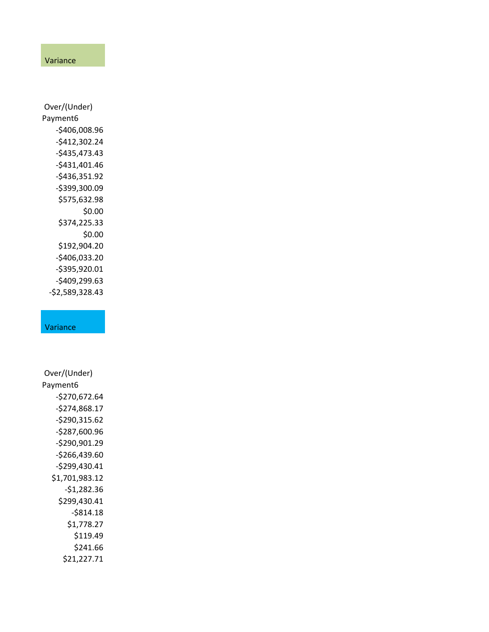## Variance

 Over/(Under) Payment6 -\$406,008.96 -\$412,302.24 -\$435,473.43 -\$431,401.46 -\$436,351.92 -\$399,300.09 \$575,632.98 \$0.00 \$374,225.33 \$0.00 \$192,904.20 -\$406,033.20 -\$395,920.01 -\$409,299.63 -\$2,589,328.43

## Variance

 Over/(Under) Payment6 -\$270,672.64 -\$274,868.17 -\$290,315.62 -\$287,600.96 -\$290,901.29 -\$266,439.60 -\$299,430.41 \$1,701,983.12 -\$1,282.36 \$299,430.41 -\$814.18 \$1,778.27 \$119.49 \$241.66 \$21,227.71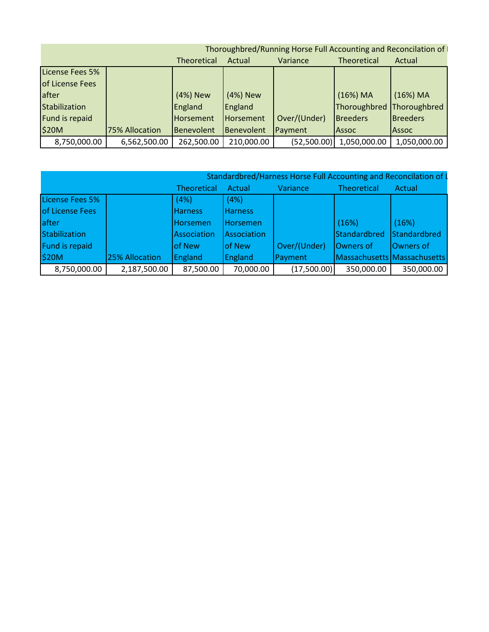|                        |                |                    |                  | Thoroughbred/Running Horse Full Accounting and Reconcilation of |                 |                           |
|------------------------|----------------|--------------------|------------------|-----------------------------------------------------------------|-----------------|---------------------------|
|                        |                | <b>Theoretical</b> | Actual           | Variance                                                        | Theoretical     | Actual                    |
| <b>License Fees 5%</b> |                |                    |                  |                                                                 |                 |                           |
| of License Fees        |                |                    |                  |                                                                 |                 |                           |
| <b>after</b>           |                | (4%) New           | (4%) New         |                                                                 | (16%) MA        | (16%) MA                  |
| Stabilization          |                | England            | England          |                                                                 |                 | Thoroughbred Thoroughbred |
| Fund is repaid         |                | <b>Horsement</b>   | <b>Horsement</b> | Over/(Under)                                                    | <b>Breeders</b> | <b>Breeders</b>           |
| \$20M                  | 75% Allocation | <b>Benevolent</b>  | Benevolent       | Payment                                                         | <b>Assoc</b>    | <b>Assoc</b>              |
| 8,750,000.00           | 6,562,500.00   | 262,500.00         | 210,000.00       | (52,500.00)                                                     | 1,050,000.00    | 1,050,000.00              |

|                 |                |                    |                 | Standardbred/Harness Horse Full Accounting and Reconcilation of I |              |                             |
|-----------------|----------------|--------------------|-----------------|-------------------------------------------------------------------|--------------|-----------------------------|
|                 |                | <b>Theoretical</b> | Actual          | <b>Variance</b>                                                   | Theoretical  | Actual                      |
| License Fees 5% |                | (4%)               | (4%)            |                                                                   |              |                             |
| of License Fees |                | <b>Harness</b>     | <b>Harness</b>  |                                                                   |              |                             |
| <b>after</b>    |                | <b>Horsemen</b>    | <b>Horsemen</b> |                                                                   | (16%)        | (16%)                       |
| Stabilization   |                | Association        | Association     |                                                                   | Standardbred | Standardbred                |
| Fund is repaid  |                | of New             | of New          | Over/(Under)                                                      | Owners of    | Owners of                   |
| \$20M           | 25% Allocation | <b>England</b>     | <b>England</b>  | Payment                                                           |              | Massachusetts Massachusetts |
| 8,750,000.00    | 2,187,500.00   | 87,500.00          | 70,000.00       | (17,500.00)                                                       | 350,000.00   | 350,000.00                  |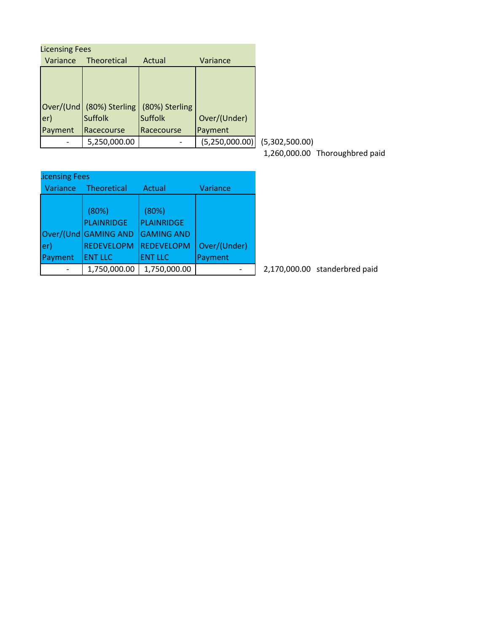| <b>Licensing Fees</b> |                          |                |                |
|-----------------------|--------------------------|----------------|----------------|
| Variance              | Theoretical              | Actual         | Variance       |
|                       |                          |                |                |
|                       |                          |                |                |
|                       |                          |                |                |
|                       | Over/(Und (80%) Sterling | (80%) Sterling |                |
| ler)                  | Suffolk                  | <b>Suffolk</b> | Over/(Under)   |
| Payment               | Racecourse               | Racecourse     | Payment        |
|                       | 5,250,000.00             |                | (5,250,000.00) |
|                       |                          |                |                |

 $(5,302,500.00)$ 1,260,000.00 Thoroughbred paid

| <b>icensing Fees</b> |                      |                   |                      |
|----------------------|----------------------|-------------------|----------------------|
| Variance             | Theoretical          | Actual            | Variance <sub></sub> |
|                      |                      |                   |                      |
|                      | (80%)                | (80%)             |                      |
|                      | <b>PLAINRIDGE</b>    | <b>PLAINRIDGE</b> |                      |
|                      | Over/(Und GAMING AND | <b>GAMING AND</b> |                      |
| er)                  | <b>REDEVELOPM</b>    | <b>REDEVELOPM</b> | Over/(Under)         |
| Payment              | <b>ENT LLC</b>       | <b>ENT LLC</b>    | Payment              |
|                      | 1,750,000.00         | 1,750,000.00      |                      |

2,170,000.00 standerbred paid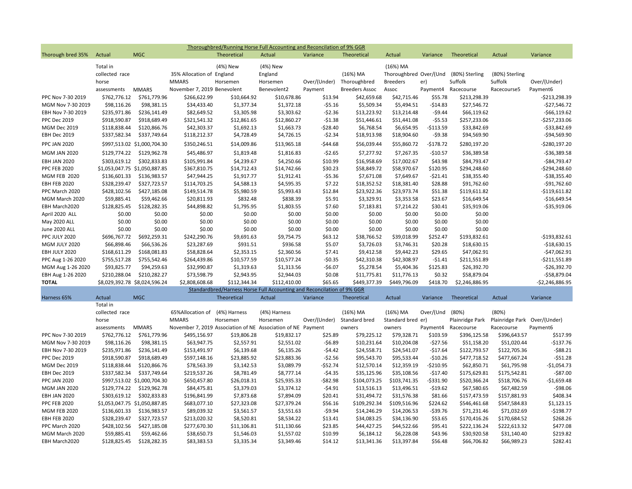|                     | Thoroughbred/Running Horse Full Accounting and Reconcilation of 9% GGR |                               |                                                                              |                          |                                                                        |                     |                            |                            |                       |                             |                              |                        |
|---------------------|------------------------------------------------------------------------|-------------------------------|------------------------------------------------------------------------------|--------------------------|------------------------------------------------------------------------|---------------------|----------------------------|----------------------------|-----------------------|-----------------------------|------------------------------|------------------------|
| Thorough bred 35%   | Actual                                                                 | <b>MGC</b>                    |                                                                              | Theoretical              | Actual                                                                 | Variance            | Theoretical                | Actual                     | Variance              | Theoretical                 | Actual                       | Variance               |
|                     | Total in                                                               |                               |                                                                              | (4%) New                 | (4%) New                                                               |                     |                            | (16%) MA                   |                       |                             |                              |                        |
|                     | collected race                                                         |                               | 35% Allocation of England                                                    |                          | England                                                                |                     | (16%) MA                   | Thoroughbred Over/(Und     |                       | (80%) Sterling              | (80%) Sterling               |                        |
|                     | horse                                                                  |                               | <b>MMARS</b>                                                                 | Horsemen                 | Horsemen                                                               | Over/(Under)        | Thoroughbred               | <b>Breeders</b>            | er)                   | Suffolk                     | Suffolk                      | Over/(Under)           |
|                     | assessments                                                            | <b>MMARS</b>                  | November 7, 2019 Benevolent                                                  |                          | Benevolent2                                                            | Payment             | <b>Breeders Assoc</b>      | Assoc                      |                       | Payment4 Racecourse         | Racecourse5                  | Payment6               |
| PPC Nov 7-30 2019   | \$762,776.12                                                           | \$761,779.96                  | \$266,622.99                                                                 | \$10,664.92              | \$10,678.86                                                            | \$13.94             | \$42,659.68                | \$42,715.46                | \$55.78               | \$213,298.39                |                              | $-5213,298.39$         |
| MGM Nov 7-30 2019   | \$98,116.26                                                            | \$98,381.15                   | \$34,433.40                                                                  | \$1,377.34               | \$1,372.18                                                             | $-55.16$            | \$5,509.34                 | \$5,494.51                 | $-514.83$             | \$27,546.72                 |                              | $-$27,546.72$          |
| EBH Nov 7-30 2019   | \$235,971.86                                                           | \$236,141.49                  | \$82,649.52                                                                  | \$3,305.98               | \$3,303.62                                                             | $-52.36$            | \$13,223.92                | \$13,214.48                | $-59.44$              | \$66,119.62                 |                              | $-566, 119.62$         |
| <b>PPC Dec 2019</b> | \$918,590.87                                                           | \$918,689.49                  | \$321,541.32                                                                 | \$12,861.65              | \$12,860.27                                                            | $-51.38$            | \$51,446.61                | \$51,441.08                | $-55.53$              | \$257,233.06                |                              | -\$257,233.06          |
| MGM Dec 2019        | \$118,838.44                                                           | \$120,866.76                  | \$42,303.37                                                                  | \$1,692.13               | \$1,663.73                                                             | -\$28.40            | \$6,768.54                 | \$6,654.95                 | $-$113.59$            | \$33,842.69                 |                              | $-$ \$33,842.69        |
| EBH Dec 2019        | \$337,582.34                                                           | \$337,749.64                  | \$118,212.37                                                                 | \$4,728.49               | \$4,726.15                                                             | $-52.34$            | \$18,913.98                | \$18,904.60                | $-59.38$              | \$94,569.90                 |                              | -\$94,569.90           |
| <b>PPC JAN 2020</b> |                                                                        | \$997,513.02 \$1,000,704.30   | \$350,246.51                                                                 | \$14,009.86              | \$13,965.18                                                            | $-$44.68$           | \$56,039.44                | \$55,860.72                | $-$178.72$            | \$280,197.20                |                              | $-5280, 197.20$        |
| <b>MGM JAN 2020</b> | \$129,774.22                                                           | \$129,962.78                  | \$45,486.97                                                                  | \$1,819.48               | \$1,816.83                                                             | $-52.65$            | \$7,277.92                 | \$7,267.35                 | $-$10.57$             | \$36,389.58                 |                              | -\$36,389.58           |
| <b>EBH JAN 2020</b> | \$303,619.12                                                           | \$302,833.83                  | \$105,991.84                                                                 | \$4,239.67               | \$4,250.66                                                             | \$10.99             | \$16,958.69                | \$17,002.67                | \$43.98               | \$84,793.47                 |                              | -\$84,793.47           |
| <b>PPC FEB 2020</b> |                                                                        | \$1,053,047.75 \$1,050,887.85 | \$367,810.75                                                                 | \$14,712.43              | \$14,742.66                                                            | \$30.23             | \$58,849.72                | \$58,970.67                | \$120.95              | \$294,248.60                |                              | -\$294,248.60          |
| MGM FEB 2020        | \$136,601.33                                                           | \$136,983.57                  | \$47,944.25                                                                  | \$1,917.77               | \$1,912.41                                                             | $-55.36$            | \$7,671.08                 | \$7,649.67                 | $-521.41$             | \$38,355.40                 |                              | $-$ \$38,355.40        |
| EBH FEB 2020        | \$328,239.47                                                           | \$327,723.57                  | \$114,703.25                                                                 | \$4,588.13               | \$4,595.35                                                             | \$7.22              | \$18,352.52                | \$18,381.40                | \$28.88               | \$91,762.60                 |                              | -\$91,762.60           |
| PPC March 2020      | \$428,102.56                                                           | \$427,185.08                  | \$149,514.78                                                                 | \$5,980.59               | \$5,993.43                                                             | \$12.84             | \$23,922.36                | \$23,973.74                | \$51.38               | \$119,611.82                |                              | $-5119,611.82$         |
| MGM March 2020      | \$59,885.41                                                            | \$59,462.66                   | \$20,811.93                                                                  | \$832.48                 | \$838.39                                                               | \$5.91              | \$3,329.91                 | \$3,353.58                 | \$23.67               | \$16,649.54                 |                              | $-$16,649.54$          |
| EBH March2020       | \$128,825.45                                                           | \$128,282.35                  | \$44,898.82                                                                  | \$1,795.95               | \$1,803.55                                                             | \$7.60              | \$7,183.81                 | \$7,214.22                 | \$30.41               | \$35,919.06                 |                              | -\$35,919.06           |
| April 2020 ALL      | \$0.00                                                                 | \$0.00                        | \$0.00                                                                       | \$0.00                   | \$0.00                                                                 | \$0.00              | \$0.00                     | \$0.00                     | \$0.00                | \$0.00                      |                              |                        |
| May 2020 ALL        | \$0.00                                                                 | \$0.00                        | \$0.00                                                                       | \$0.00                   | \$0.00                                                                 | \$0.00              | \$0.00                     | \$0.00                     | \$0.00                | \$0.00                      |                              |                        |
| June 2020 ALL       | \$0.00                                                                 | \$0.00                        | \$0.00                                                                       | \$0.00                   | \$0.00                                                                 | \$0.00              | \$0.00                     | \$0.00                     | \$0.00                | \$0.00                      |                              |                        |
| PPC JULY 2020       | \$696,767.72                                                           | \$692,259.31                  | \$242,290.76                                                                 | \$9,691.63               | \$9,754.75                                                             | \$63.12             | \$38,766.52                | \$39,018.99                | \$252.47              | \$193,832.61                |                              | -\$193,832.61          |
| MGM JULY 2020       | \$66,898.46                                                            | \$66,536.26                   | \$23,287.69                                                                  | \$931.51                 | \$936.58                                                               | \$5.07              | \$3,726.03                 | \$3,746.31                 | \$20.28               | \$18,630.15                 |                              | $-$18,630.15$          |
| EBH JULY 2020       | \$168,611.29                                                           | \$168,081.83                  | \$58,828.64                                                                  | \$2,353.15               | \$2,360.56                                                             | \$7.41              | \$9,412.58                 | \$9,442.23                 | \$29.65               | \$47,062.91                 |                              | -\$47,062.91           |
| PPC Aug 1-26 2020   | \$755,517.28                                                           | \$755,542.46                  | \$264,439.86                                                                 | \$10,577.59              | \$10,577.24                                                            | $-50.35$            | \$42,310.38                | \$42,308.97                | $-51.41$              | \$211,551.89                |                              | $-5211,551.89$         |
| MGM Aug 1-26 2020   | \$93,825.77                                                            | \$94,259.63                   | \$32,990.87                                                                  | \$1,319.63               | \$1,313.56                                                             | -\$6.07             | \$5,278.54                 | \$5,404.36                 | \$125.83              | \$26,392.70                 |                              | $-$26,392.70$          |
| EBH Aug 1-26 2020   | \$210,288.04                                                           | \$210,282.27                  | \$73,598.79                                                                  | \$2,943.95               | \$2,944.03                                                             | \$0.08              | \$11,775.81                | \$11,776.13                | \$0.32                | \$58,879.04                 |                              | -\$58,879.04           |
| <b>TOTAL</b>        |                                                                        | \$8,029,392.78 \$8,024,596.24 | \$2,808,608.68                                                               | \$112,344.34             | \$112,410.00                                                           | \$65.65             | \$449,377.39               | \$449,796.09               | \$418.70              | \$2,246,886.95              |                              | -\$2,246,886.95        |
|                     |                                                                        |                               |                                                                              |                          | Standardbred/Harness Horse Full Accounting and Reconcilation of 9% GGR |                     |                            |                            |                       |                             |                              |                        |
| Harness 65%         | Actual                                                                 | <b>MGC</b>                    |                                                                              | Theoretical              | Actual                                                                 | Variance            | Theoretical                | Actual                     | Variance              | Theoretical                 | Actual                       | Variance               |
|                     | Total in                                                               |                               |                                                                              |                          |                                                                        |                     |                            |                            |                       |                             |                              |                        |
|                     | collected race                                                         |                               | 65%Allocation of                                                             | (4%) Harness             | (4%) Harness                                                           |                     | (16%) MA                   | (16%) MA                   | Over/(Und             | (80%)                       | (80%)                        |                        |
|                     | horse                                                                  |                               | <b>MMARS</b><br>November 7, 2019 Association of NE Association of NE Payment | Horsemen                 | Horsemen                                                               | Over/(Under)        | Standard bred              | Standard bred er)          |                       | Plainridge Park             | Plainridge Park Over/(Under) |                        |
| PPC Nov 7-30 2019   | assessments                                                            | <b>MMARS</b>                  |                                                                              |                          |                                                                        |                     | owners                     | owners                     |                       | Payment4 Racecourse         | Racecourse                   | Payment6               |
| MGM Nov 7-30 2019   | \$762,776.12<br>\$98,116.26                                            | \$761,779.96<br>\$98,381.15   | \$495,156.97<br>\$63,947.75                                                  | \$19,806.28              | \$19,832.17                                                            | \$25.89<br>$-56.89$ | \$79,225.12<br>\$10,231.64 | \$79,328.71<br>\$10,204.08 | \$103.59<br>$-$27.56$ | \$396,125.58                | \$396,643.57                 | \$517.99<br>$-$137.76$ |
| EBH Nov 7-30 2019   | \$235,971.86                                                           | \$236,141.49                  | \$153,491.97                                                                 | \$2,557.91<br>\$6,139.68 | \$2,551.02<br>\$6,135.26                                               | $-54.42$            | \$24,558.71                | \$24,541.07                | $-517.64$             | \$51,158.20<br>\$122,793.57 | \$51,020.44<br>\$122,705.36  | $-$ \$88.21            |
| <b>PPC Dec 2019</b> | \$918,590.87                                                           | \$918,689.49                  | \$597,148.16                                                                 | \$23,885.92              | \$23,883.36                                                            | $-52.56$            | \$95,543.70                | \$95,533.44                | $-$10.26$             | \$477,718.52                | \$477,667.24                 | $-551.28$              |
| MGM Dec 2019        | \$118,838.44                                                           | \$120,866.76                  | \$78,563.39                                                                  | \$3,142.53               | \$3,089.79                                                             | -\$52.74            | \$12,570.14                | \$12,359.19                | $-5210.95$            | \$62,850.71                 | \$61,795.98                  | $-$1,054.73$           |
| EBH Dec 2019        | \$337,582.34                                                           | \$337,749.64                  | \$219,537.26                                                                 | \$8,781.49               | \$8,777.14                                                             | $-54.35$            | \$35,125.96                | \$35,108.56                | $-$17.40$             | \$175,629.81                | \$175,542.81                 | $-$ \$87.00            |
| <b>PPC JAN 2020</b> |                                                                        | \$997,513.02 \$1,000,704.30   | \$650,457.80                                                                 | \$26,018.31              | \$25,935.33                                                            | $-$ \$82.98         | \$104,073.25               | \$103,741.35               | $-5331.90$            | \$520,366.24                | \$518,706.76                 | $-$1,659.48$           |
| <b>MGM JAN 2020</b> | \$129,774.22                                                           | \$129,962.78                  | \$84,475.81                                                                  | \$3,379.03               | \$3,374.12                                                             | $-54.91$            | \$13,516.13                | \$13,496.51                | $-$19.62$             | \$67,580.65                 | \$67,482.59                  | $-598.06$              |
| <b>EBH JAN 2020</b> | \$303,619.12                                                           | \$302,833.83                  | \$196,841.99                                                                 | \$7,873.68               | \$7,894.09                                                             | \$20.41             | \$31,494.72                | \$31,576.38                | \$81.66               | \$157,473.59                | \$157,881.93                 | \$408.34               |
| <b>PPC FEB 2020</b> |                                                                        | \$1,053,047.75 \$1,050,887.85 | \$683,077.10                                                                 | \$27,323.08              | \$27,379.24                                                            | \$56.16             | \$109,292.34               | \$109,516.96               | \$224.62              | \$546,461.68                | \$547,584.83                 | \$1,123.15             |
| MGM FEB 2020        | \$136,601.33                                                           | \$136,983.57                  | \$89,039.32                                                                  | \$3,561.57               | \$3,551.63                                                             | $-59.94$            | \$14,246.29                | \$14,206.53                | $-$39.76$             | \$71,231.46                 | \$71,032.69                  | $-$198.77$             |
| EBH FEB 2020        | \$328,239.47                                                           | \$327,723.57                  | \$213,020.32                                                                 | \$8,520.81               | \$8,534.22                                                             | \$13.41             | \$34,083.25                | \$34,136.90                | \$53.65               | \$170,416.26                | \$170,684.52                 | \$268.26               |
| PPC March 2020      | \$428,102.56                                                           | \$427,185.08                  | \$277,670.30                                                                 | \$11,106.81              | \$11,130.66                                                            | \$23.85             | \$44,427.25                | \$44,522.66                | \$95.41               | \$222,136.24                | \$222,613.32                 | \$477.08               |
| MGM March 2020      | \$59,885.41                                                            | \$59,462.66                   | \$38,650.73                                                                  | \$1,546.03               | \$1,557.02                                                             | \$10.99             | \$6,184.12                 | \$6,228.08                 | \$43.96               | \$30,920.58                 | \$31,140.40                  | \$219.82               |
| EBH March2020       | \$128,825.45                                                           | \$128,282.35                  | \$83,383.53                                                                  | \$3,335.34               | \$3,349.46                                                             | \$14.12             | \$13,341.36                | \$13,397.84                | \$56.48               | \$66,706.82                 | \$66,989.23                  | \$282.41               |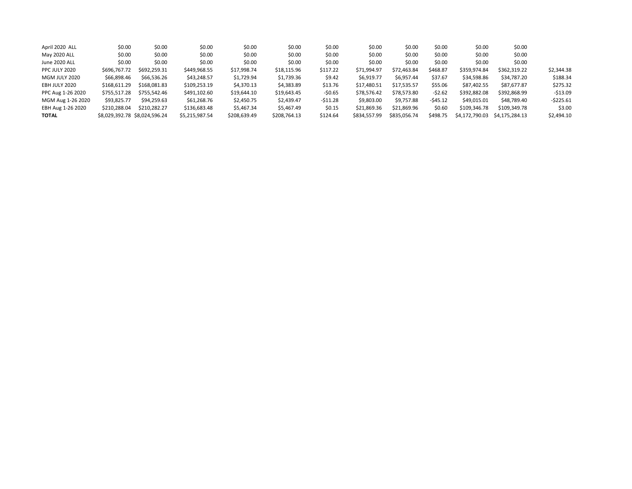| April 2020 ALL    | \$0.00                        | \$0.00       | \$0.00         | \$0.00       | \$0.00       | \$0.00    | \$0.00       | \$0.00       | \$0.00    | \$0.00         | \$0.00         |            |
|-------------------|-------------------------------|--------------|----------------|--------------|--------------|-----------|--------------|--------------|-----------|----------------|----------------|------------|
| May 2020 ALL      | \$0.00                        | \$0.00       | \$0.00         | \$0.00       | \$0.00       | \$0.00    | \$0.00       | \$0.00       | \$0.00    | \$0.00         | \$0.00         |            |
| June 2020 ALL     | \$0.00                        | \$0.00       | \$0.00         | \$0.00       | \$0.00       | \$0.00    | \$0.00       | \$0.00       | \$0.00    | \$0.00         | \$0.00         |            |
| PPC JULY 2020     | \$696.767.72                  | \$692.259.31 | \$449,968.55   | \$17,998.74  | \$18,115.96  | \$117.22  | \$71,994.97  | \$72,463.84  | \$468.87  | \$359,974.84   | \$362,319.22   | \$2,344.38 |
| MGM JULY 2020     | \$66.898.46                   | \$66.536.26  | \$43,248.57    | \$1,729.94   | \$1,739.36   | \$9.42    | \$6,919.77   | \$6,957.44   | \$37.67   | \$34.598.86    | \$34,787.20    | \$188.34   |
| EBH JULY 2020     | \$168,611.29                  | \$168,081.83 | \$109,253.19   | \$4,370.13   | \$4,383.89   | \$13.76   | \$17,480.51  | \$17.535.57  | \$55.06   | \$87,402.55    | \$87,677.87    | \$275.32   |
| PPC Aug 1-26 2020 | \$755,517.28                  | \$755.542.46 | \$491,102.60   | \$19,644.10  | \$19,643.45  | -\$0.65   | \$78.576.42  | \$78,573.80  | $-52.62$  | \$392.882.08   | \$392,868.99   | $-513.09$  |
| MGM Aug 1-26 2020 | \$93,825.77                   | \$94,259.63  | \$61,268.76    | \$2,450.75   | \$2,439.47   | $-511.28$ | \$9,803.00   | \$9,757.88   | $-545.12$ | \$49,015.01    | \$48,789.40    | $-5225.61$ |
| EBH Aug 1-26 2020 | \$210.288.04                  | \$210.282.27 | \$136.683.48   | \$5,467.34   | \$5,467.49   | \$0.15    | \$21,869.36  | \$21,869.96  | \$0.60    | \$109,346.78   | \$109,349.78   | \$3.00     |
| <b>TOTAL</b>      | \$8,029,392.78 \$8,024,596.24 |              | \$5,215,987.54 | \$208,639.49 | \$208,764.13 | \$124.64  | \$834.557.99 | \$835,056.74 | \$498.75  | \$4,172,790.03 | \$4.175.284.13 | \$2,494.10 |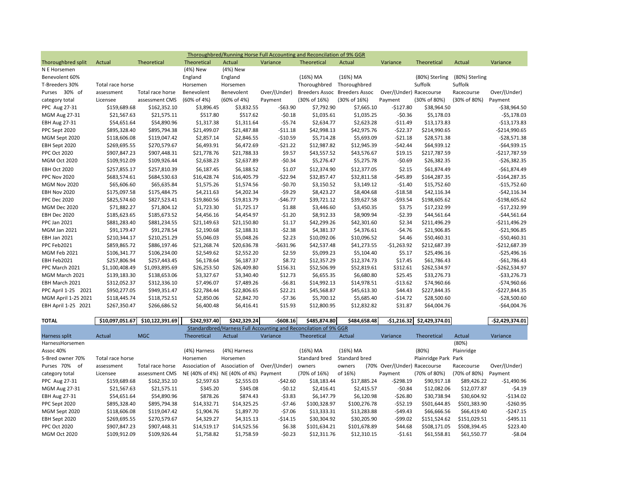| Thoroughbred/Running Horse Full Accounting and Reconcilation of 9% GGR |                  |                    |                |                                       |              |                                                                  |                       |                              |                      |                |                  |
|------------------------------------------------------------------------|------------------|--------------------|----------------|---------------------------------------|--------------|------------------------------------------------------------------|-----------------------|------------------------------|----------------------|----------------|------------------|
| Thoroughbred split                                                     | Actual           | <b>Theoretical</b> | Theoretical    | Actual                                | Variance     | Theoretical                                                      | Actual                | Variance                     | Theoretical          | Actual         | Variance         |
| N E Horsemen                                                           |                  |                    | (4%) New       | (4%) New                              |              |                                                                  |                       |                              |                      |                |                  |
| Benevolent 60%                                                         |                  |                    | England        | England                               |              | (16%) MA                                                         | (16%) MA              |                              | (80%) Sterling       | (80%) Sterling |                  |
| T-Breeders 30%                                                         | Total race horse |                    | Horsemen       | Horsemen                              |              | Thoroughbred                                                     | Thoroughbred          |                              | Suffolk              | Suffolk        |                  |
| Purses 30% of                                                          | assessment       | Total race horse   | Benevolent     | Benevolent                            | Over/(Under) | <b>Breeders Assoc</b>                                            | <b>Breeders Assoc</b> | Over/(Under) Racecourse      |                      | Racecourse     | Over/(Under)     |
| category total                                                         | Licensee         | assessment CMS     | (60% of 4%)    | (60% of 4%)                           | Payment      | (30% of 16%)                                                     | (30% of 16%)          | Payment                      | (30% of 80%)         | (30% of 80%)   | Payment          |
| PPC Aug 27-31                                                          | \$159,689.68     | \$162,352.10       | \$3,896.45     | \$3,832.55                            | $-563.90$    | \$7,792.90                                                       | \$7,665.10            | $-$127.80$                   | \$38,964.50          |                | $-538,964.50$    |
| MGM Aug 27-31                                                          | \$21,567.63      | \$21,575.11        | \$517.80       | \$517.62                              | $-50.18$     | \$1,035.61                                                       | \$1,035.25            | $-50.36$                     | \$5,178.03           |                | $-$5,178.03$     |
| <b>EBH Aug 27-31</b>                                                   | \$54,651.64      | \$54,890.96        | \$1,317.38     | \$1,311.64                            | $-55.74$     | \$2,634.77                                                       | \$2,623.28            | $-511.49$                    | \$13,173.83          |                | $-$13,173.83$    |
| PPC Sept 2020                                                          | \$895,328.40     | \$895,794.38       | \$21,499.07    | \$21,487.88                           | $-511.18$    | \$42,998.13                                                      | \$42,975.76           | $-522.37$                    | \$214,990.65         |                | $-$214,990.65$   |
| MGM Sept 2020                                                          | \$118,606.08     | \$119,047.42       | \$2,857.14     | \$2,846.55                            | $-$10.59$    | \$5,714.28                                                       | \$5,693.09            | $-521.18$                    | \$28,571.38          |                | $-$28,571.38$    |
| EBH Sept 2020                                                          | \$269,695.55     | \$270,579.67       | \$6,493.91     | \$6,472.69                            | $-521.22$    | \$12,987.82                                                      | \$12,945.39           | -\$42.44                     | \$64,939.12          |                | $-$64,939.15$    |
| <b>PPC Oct 2020</b>                                                    | \$907,847.23     | \$907,448.31       | \$21,778.76    | \$21,788.33                           | \$9.57       | \$43,557.52                                                      | \$43,576.67           | \$19.15                      | \$217,787.59         |                | $-$217,787.59$   |
| <b>MGM Oct 2020</b>                                                    | \$109,912.09     | \$109,926.44       | \$2,638.23     | \$2,637.89                            | -\$0.34      | \$5,276.47                                                       | \$5,275.78            | $-50.69$                     | \$26,382.35          |                | $-$26,382.35$    |
| EBH Oct 2020                                                           | \$257,855.17     | \$257,810.39       | \$6,187.45     | \$6,188.52                            | \$1.07       | \$12,374.90                                                      | \$12,377.05           | \$2.15                       | \$61,874.49          |                | $-$61,874.49$    |
| <b>PPC Nov 2020</b>                                                    | \$683,574.61     | \$684,530.63       | \$16,428.74    | \$16,405.79                           | $-522.94$    | \$32,857.47                                                      | \$32,811.58           | -\$45.89                     | \$164,287.35         |                | $-$164,287.35$   |
| MGM Nov 2020                                                           | \$65,606.60      | \$65,635.84        | \$1,575.26     | \$1,574.56                            | $-50.70$     | \$3,150.52                                                       | \$3,149.12            | $-51.40$                     | \$15,752.60          |                | $-$15,752.60$    |
| EBH Nov 2020                                                           | \$175,097.58     | \$175,484.75       | \$4,211.63     | \$4,202.34                            | $-59.29$     | \$8,423.27                                                       | \$8,404.68            | $-518.58$                    | \$42,116.34          |                | $-$42,116.34$    |
| <b>PPC Dec 2020</b>                                                    | \$825,574.60     | \$827,523.41       | \$19,860.56    | \$19,813.79                           | -\$46.77     | \$39,721.12                                                      | \$39,627.58           | $-$ \$93.54                  | \$198,605.62         |                | $-$198,605.62$   |
| MGM Dec 2020                                                           | \$71,882.27      | \$71,804.12        | \$1,723.30     | \$1,725.17                            | \$1.88       | \$3,446.60                                                       | \$3,450.35            | \$3.75                       | \$17,232.99          |                | $-$17,232.99$    |
| EBH Dec 2020                                                           | \$185,623.65     | \$185,673.52       | \$4,456.16     | \$4,454.97                            | $-$1.20$     | \$8,912.33                                                       | \$8,909.94            | $-52.39$                     | \$44,561.64          |                | $-$44,561.64$    |
| <b>PPC Jan 2021</b>                                                    | \$881,283.40     | \$881,234.55       | \$21,149.63    | \$21,150.80                           | \$1.17       | \$42,299.26                                                      | \$42,301.60           | \$2.34                       | \$211,496.29         |                | $-5211,496.29$   |
| MGM Jan 2021                                                           | \$91,179.47      | \$91,278.54        | \$2,190.68     | \$2,188.31                            | $-52.38$     | \$4,381.37                                                       | \$4,376.61            | $-54.76$                     | \$21,906.85          |                | $-$21,906.85$    |
| <b>EBH Jan 2021</b>                                                    | \$210,344.17     | \$210,251.29       | \$5,046.03     | \$5,048.26                            | \$2.23       | \$10,092.06                                                      | \$10,096.52           | \$4.46                       | \$50,460.31          |                | $-$50,460.31$    |
| PPC Feb2021                                                            | \$859,865.72     | \$886,197.46       | \$21,268.74    | \$20,636.78                           | $-$631.96$   | \$42,537.48                                                      | \$41,273.55           | $-$1,263.92$                 | \$212,687.39         |                | $-$212,687.39$   |
| MGM Feb 2021                                                           | \$106,341.77     | \$106,234.00       | \$2,549.62     | \$2,552.20                            | \$2.59       | \$5,099.23                                                       | \$5,104.40            | \$5.17                       | \$25,496.16          |                | $-$25,496.16$    |
| EBH Feb2021                                                            | \$257,806.94     | \$257,443.45       | \$6,178.64     | \$6,187.37                            | \$8.72       | \$12,357.29                                                      | \$12,374.73           | \$17.45                      | \$61,786.43          |                | $-$61,786.43$    |
| PPC March 2021                                                         | \$1,100,408.49   | \$1,093,895.69     | \$26,253.50    | \$26,409.80                           | \$156.31     | \$52,506.99                                                      | \$52,819.61           | \$312.61                     | \$262,534.97         |                | $-$262,534.97$   |
| MGM March 2021                                                         | \$139,183.30     | \$138,653.06       | \$3,327.67     | \$3,340.40                            | \$12.73      | \$6,655.35                                                       | \$6,680.80            | \$25.45                      | \$33,276.73          |                | $-$33,276.73$    |
| EBH March 2021                                                         | \$312,052.37     | \$312,336.10       | \$7,496.07     | \$7,489.26                            | $-56.81$     | \$14,992.13                                                      | \$14,978.51           | $-$13.62$                    | \$74,960.66          |                | $-$74,960.66$    |
| PPC April 1-25 2021                                                    | \$950,277.05     | \$949,351.47       | \$22,784.44    | \$22,806.65                           | \$22.21      | \$45,568.87                                                      | \$45,613.30           | \$44.43                      | \$227,844.35         |                | $-$227,844.35$   |
| MGM April 1-25 2021                                                    | \$118,445.74     | \$118,752.51       | \$2,850.06     | \$2,842.70                            | $-57.36$     | \$5,700.12                                                       | \$5,685.40            | -\$14.72                     | \$28,500.60          |                | $-$28,500.60$    |
| EBH April 1-25 2021                                                    | \$267,350.47     | \$266,686.52       | \$6,400.48     | \$6,416.41                            | \$15.93      | \$12,800.95                                                      | \$12,832.82           | \$31.87                      | \$64,004.76          |                | $-$64,004.76$    |
|                                                                        |                  |                    |                |                                       |              |                                                                  |                       |                              |                      |                |                  |
| <b>TOTAL</b>                                                           | \$10,097,051.67  | \$10,122,391.69    | \$242,937.40   | \$242,329.24                          | \$608.16     | \$485,874.80                                                     | \$484,658.48          | $-$1,216.32$                 | \$2,429,374.01       |                | $-$2,429,374.01$ |
|                                                                        |                  |                    |                |                                       |              | Standardbred/Harness Full Accounting and Reconcilation of 9% GGR |                       |                              |                      |                |                  |
| Harness split                                                          | Actual           | <b>MGC</b>         | Theoretical    | Actual                                | Variance     | Theoretical                                                      | Actual                | Variance                     | Theoretical          | Actual         | Variance         |
| HarnessHorsemen                                                        |                  |                    |                |                                       |              |                                                                  |                       |                              |                      | (80%)          |                  |
| Assoc 40%                                                              |                  |                    | (4%) Harness   | (4%) Harness                          |              | (16%) MA                                                         | (16%) MA              |                              | (80%)                | Plainridge     |                  |
| S-Bred owner 70%                                                       | Total race horse |                    | Horsemen       | Horsemen                              |              | Standard bred                                                    | Standard bred         |                              | Plainridge Park Park |                |                  |
| Purses 70%<br>of                                                       | assessment       | Total race horse   | Association of | Association of Over/(Under)           |              | owners                                                           | owners                | (70% Over/(Under) Racecourse |                      | Racecourse     | Over/(Under)     |
| category total                                                         | Licensee         | assessment CMS     |                | NE (40% of 4%) NE (40% of 4%) Payment |              | (70% of 16%)                                                     | of 16%)               | Payment                      | (70% of 80%)         | (70% of 80%)   | Payment          |
| PPC Aug 27-31                                                          | \$159,689.68     | \$162,352.10       | \$2,597.63     | \$2,555.03                            | $-542.60$    | \$18,183.44                                                      | \$17,885.24           | $-5298.19$                   | \$90,917.18          | \$89,426.22    | $-$1,490.96$     |
| MGM Aug 27-31                                                          | \$21,567.63      | \$21,575.11        | \$345.20       | \$345.08                              | $-50.12$     | \$2,416.41                                                       | \$2,415.57            | $-50.84$                     | \$12,082.06          | \$12,077.87    | $-$4.19$         |
| <b>EBH Aug 27-31</b>                                                   | \$54,651.64      | \$54,890.96        | \$878.26       | \$874.43                              | $-53.83$     | \$6,147.79                                                       | \$6,120.98            | $-526.80$                    | \$30,738.94          | \$30,604.92    | $-$134.02$       |
| PPC Sept 2020                                                          | \$895,328.40     | \$895,794.38       | \$14,332.71    | \$14,325.25                           | $-57.46$     | \$100,328.97                                                     | \$100,276.78          | $-552.19$                    | \$501,644.85         | \$501,383.90   | $-5260.95$       |
| MGM Sept 2020                                                          | \$118,606.08     | \$119,047.42       | \$1,904.76     | \$1,897.70                            | $-57.06$     | \$13,333.31                                                      | \$13,283.88           | $-549.43$                    | \$66,666.56          | \$66,419.40    | $-5247.15$       |
| EBH Sept 2020                                                          | \$269,695.55     | \$270,579.67       | \$4,329.27     | \$4,315.13                            | $-$14.15$    | \$30,304.92                                                      | \$30,205.90           | -\$99.02                     | \$151,524.62         | \$151,029.51   | $-5495.11$       |
| <b>PPC Oct 2020</b>                                                    | \$907,847.23     | \$907,448.31       | \$14,519.17    | \$14,525.56                           | \$6.38       | \$101,634.21                                                     | \$101,678.89          | \$44.68                      | \$508,171.05         | \$508,394.45   | \$223.40         |
| MGM Oct 2020                                                           | \$109,912.09     | \$109,926.44       | \$1,758.82     | \$1,758.59                            | $-50.23$     | \$12,311.76                                                      | \$12,310.15           | $-51.61$                     | \$61,558.81          | \$61,550.77    | $-58.04$         |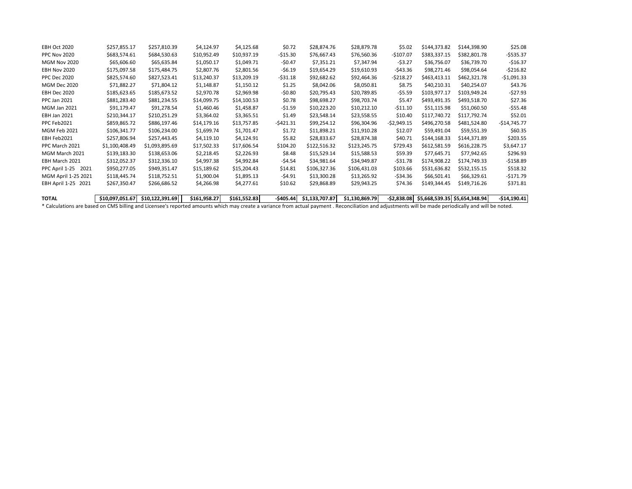| <b>EBH Oct 2020</b> | \$257,855.17   | \$257,810.39   | \$4,124.97  | \$4,125.68  | \$0.72    | \$28,874.76  | \$28,879.78  | \$5.02       | \$144,373.82 | \$144,398.90 | \$25.08       |
|---------------------|----------------|----------------|-------------|-------------|-----------|--------------|--------------|--------------|--------------|--------------|---------------|
| <b>PPC Nov 2020</b> | \$683,574.61   | \$684,530.63   | \$10,952.49 | \$10,937.19 | -\$15.30  | \$76,667.43  | \$76,560.36  | $-5107.07$   | \$383,337.15 | \$382,801.78 | -\$535.37     |
| MGM Nov 2020        | \$65,606.60    | \$65,635.84    | \$1,050.17  | \$1,049.71  | $-50.47$  | \$7,351.21   | \$7,347.94   | $-53.27$     | \$36,756.07  | \$36,739.70  | -\$16.37      |
| EBH Nov 2020        | \$175,097.58   | \$175,484.75   | \$2,807.76  | \$2,801.56  | $-56.19$  | \$19,654.29  | \$19,610.93  | -\$43.36     | \$98,271.46  | \$98,054.64  | $-$ \$216.82  |
| <b>PPC Dec 2020</b> | \$825,574.60   | \$827,523.41   | \$13,240.37 | \$13,209.19 | -\$31.18  | \$92,682.62  | \$92,464.36  | -\$218.27    | \$463,413.11 | \$462,321.78 | $-$1,091.33$  |
| MGM Dec 2020        | \$71,882.27    | \$71,804.12    | \$1,148.87  | \$1,150.12  | \$1.25    | \$8,042.06   | \$8,050.81   | \$8.75       | \$40,210.31  | \$40,254.07  | \$43.76       |
| <b>EBH Dec 2020</b> | \$185,623.65   | \$185,673.52   | \$2,970.78  | \$2,969.98  | $-50.80$  | \$20,795.43  | \$20,789.85  | $-$ \$5.59   | \$103,977.17 | \$103,949.24 | -\$27.93      |
| <b>PPC Jan 2021</b> | \$881,283.40   | \$881,234.55   | \$14,099.75 | \$14,100.53 | \$0.78    | \$98,698.27  | \$98,703.74  | \$5.47       | \$493,491.35 | \$493,518.70 | \$27.36       |
| MGM Jan 2021        | \$91,179.47    | \$91,278.54    | \$1,460.46  | \$1,458.87  | $-51.59$  | \$10,223.20  | \$10,212.10  | $-511.10$    | \$51,115.98  | \$51,060.50  | $-555.48$     |
| <b>EBH Jan 2021</b> | \$210,344.17   | \$210,251.29   | \$3,364.02  | \$3,365.51  | \$1.49    | \$23,548.14  | \$23,558.55  | \$10.40      | \$117,740.72 | \$117,792.74 | \$52.01       |
| PPC Feb2021         | \$859,865.72   | \$886,197.46   | \$14,179.16 | \$13,757.85 | -\$421.31 | \$99,254.12  | \$96,304.96  | $-52,949.15$ | \$496,270.58 | \$481,524.80 | $-514,745.77$ |
| MGM Feb 2021        | \$106,341.77   | \$106,234.00   | \$1,699.74  | \$1,701.47  | \$1.72    | \$11,898.21  | \$11,910.28  | \$12.07      | \$59,491.04  | \$59,551.39  | \$60.35       |
| EBH Feb2021         | \$257,806.94   | \$257,443.45   | \$4,119.10  | \$4,124.91  | \$5.82    | \$28,833.67  | \$28,874.38  | \$40.71      | \$144,168.33 | \$144,371.89 | \$203.55      |
| PPC March 2021      | \$1,100,408.49 | \$1.093.895.69 | \$17,502.33 | \$17,606.54 | \$104.20  | \$122,516.32 | \$123,245.75 | \$729.43     | \$612,581.59 | \$616,228.75 | \$3,647.17    |
| MGM March 2021      | \$139,183.30   | \$138,653.06   | \$2,218.45  | \$2,226.93  | \$8.48    | \$15,529.14  | \$15,588.53  | \$59.39      | \$77,645.71  | \$77,942.65  | \$296.93      |
| EBH March 2021      | \$312,052.37   | \$312,336.10   | \$4,997.38  | \$4,992.84  | $-54.54$  | \$34,981.64  | \$34,949.87  | -\$31.78     | \$174,908.22 | \$174,749.33 | $-5158.89$    |
| PPC April 1-25 2021 | \$950,277.05   | \$949,351.47   | \$15,189.62 | \$15,204.43 | \$14.81   | \$106,327.36 | \$106,431.03 | \$103.66     | \$531,636.82 | \$532,155.15 | \$518.32      |
| MGM April 1-25 2021 | \$118,445.74   | \$118,752.51   | \$1,900.04  | \$1,895.13  | $-54.91$  | \$13,300.28  | \$13,265.92  | -\$34.36     | \$66,501.41  | \$66,329.61  | -\$171.79     |
| EBH April 1-25 2021 | \$267,350.47   | \$266,686.52   | \$4,266.98  | \$4,277.61  | \$10.62   | \$29,868.89  | \$29,943.25  | \$74.36      | \$149,344.45 | \$149,716.26 | \$371.81      |
|                     |                |                |             |             |           |              |              |              |              |              |               |

TOTAL \$10,097,051.67 \$10,122,391.69 \$161,958.27 \$161,552.83 -\$405.44 \$1,133,707.87 \$1,130,869.79 -\$2,838.08 \$5,668,539.35 \$5,654,348.94 -\$14,190.41 \* Calculations are based on CMS billing and Licensee's reported amounts which may create a variance from actual payment . Reconciliation and adjustments will be made periodically and will be noted.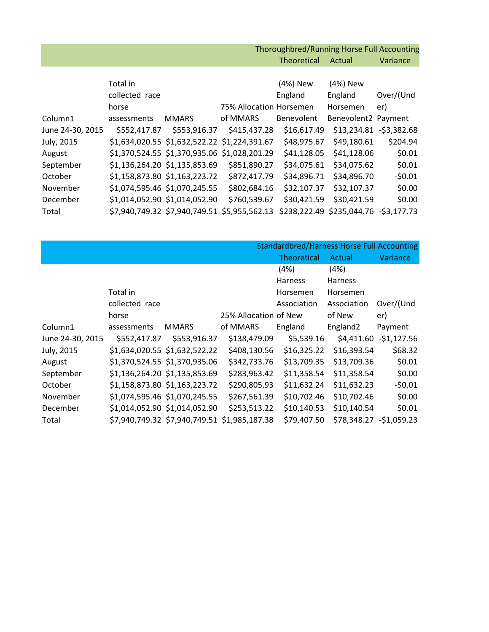|                  |                |                                              |                                              | Thoroughbred/Running Horse Full Accounting |                                       |                          |
|------------------|----------------|----------------------------------------------|----------------------------------------------|--------------------------------------------|---------------------------------------|--------------------------|
|                  |                |                                              |                                              | Theoretical                                | Actual                                | Variance                 |
|                  |                |                                              |                                              |                                            |                                       |                          |
|                  | Total in       |                                              |                                              | (4%) New                                   | (4%) New                              |                          |
|                  | collected race |                                              |                                              | England                                    | England                               | Over/(Und                |
|                  | horse          |                                              | 75% Allocation Horsemen                      |                                            | Horsemen                              | er)                      |
| Column1          | assessments    | <b>MMARS</b>                                 | of MMARS                                     | Benevolent                                 | Benevolent2 Payment                   |                          |
| June 24-30, 2015 |                | \$552,417.87 \$553,916.37                    | \$415,437.28                                 | \$16,617.49                                |                                       | \$13,234.81 - \$3,382.68 |
| July, 2015       |                | \$1,634,020.55 \$1,632,522.22 \$1,224,391.67 |                                              | \$48,975.67                                | \$49,180.61                           | \$204.94                 |
| August           |                | \$1,370,524.55 \$1,370,935.06 \$1,028,201.29 |                                              | \$41,128.05                                | \$41,128.06                           | \$0.01                   |
| September        |                | \$1,136,264.20 \$1,135,853.69                | \$851,890.27                                 | \$34,075.61                                | \$34,075.62                           | \$0.01                   |
| October          |                | \$1,158,873.80 \$1,163,223.72                | \$872,417.79                                 | \$34,896.71                                | \$34,896.70                           | $-50.01$                 |
| November         |                | \$1,074,595.46 \$1,070,245.55                | \$802,684.16                                 | \$32,107.37                                | \$32,107.37                           | \$0.00                   |
| December         |                | \$1,014,052.90 \$1,014,052.90                | \$760,539.67                                 | \$30,421.59                                | \$30,421.59                           | \$0.00                   |
| Total            |                |                                              | \$7,940,749.32 \$7,940,749.51 \$5,955,562.13 |                                            | \$238,222.49 \$235,044.76 -\$3,177.73 |                          |

|                  |                |                                              |                       | <b>Standardbred/Harness Horse Full Accounting</b> |                      |              |
|------------------|----------------|----------------------------------------------|-----------------------|---------------------------------------------------|----------------------|--------------|
|                  |                |                                              |                       | <b>Theoretical</b>                                | Actual               | Variance     |
|                  |                |                                              |                       | (4%)                                              | (4%)                 |              |
|                  |                |                                              |                       | <b>Harness</b>                                    | <b>Harness</b>       |              |
|                  | Total in       |                                              |                       | Horsemen                                          | Horsemen             |              |
|                  | collected race |                                              |                       | Association                                       | Association          | Over/(Und    |
|                  | horse          |                                              | 25% Allocation of New |                                                   | of New               | er)          |
| Column1          | assessments    | <b>MMARS</b>                                 | of MMARS              | England                                           | England <sub>2</sub> | Payment      |
| June 24-30, 2015 | \$552,417.87   | \$553,916.37                                 | \$138,479.09          | \$5,539.16                                        | \$4,411.60           | $-$1,127.56$ |
| July, 2015       |                | \$1,634,020.55 \$1,632,522.22                | \$408,130.56          | \$16,325.22                                       | \$16,393.54          | \$68.32      |
| August           |                | \$1,370,524.55 \$1,370,935.06                | \$342,733.76          | \$13,709.35                                       | \$13,709.36          | \$0.01       |
| September        |                | \$1,136,264.20 \$1,135,853.69                | \$283,963.42          | \$11,358.54                                       | \$11,358.54          | \$0.00       |
| October          |                | \$1,158,873.80 \$1,163,223.72                | \$290,805.93          | \$11,632.24                                       | \$11,632.23          | $-50.01$     |
| November         |                | \$1,074,595.46 \$1,070,245.55                | \$267,561.39          | \$10,702.46                                       | \$10,702.46          | \$0.00       |
| December         |                | \$1,014,052.90 \$1,014,052.90                | \$253,513.22          | \$10,140.53                                       | \$10,140.54          | \$0.01       |
| Total            |                | \$7,940,749.32 \$7,940,749.51 \$1,985,187.38 |                       | \$79,407.50                                       | \$78,348.27          | $-51,059.23$ |